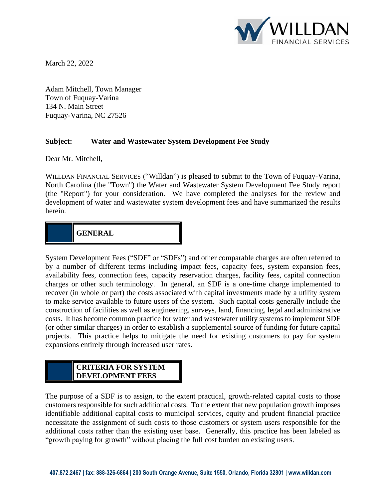

March 22, 2022

Adam Mitchell, Town Manager Town of Fuquay-Varina 134 N. Main Street Fuquay-Varina, NC 27526

#### **Subject: Water and Wastewater System Development Fee Study**

Dear Mr. Mitchell,

WILLDAN FINANCIAL SERVICES ("Willdan") is pleased to submit to the Town of Fuquay-Varina, North Carolina (the "Town") the Water and Wastewater System Development Fee Study report (the "Report") for your consideration. We have completed the analyses for the review and development of water and wastewater system development fees and have summarized the results herein.

## **GENERAL**

System Development Fees ("SDF" or "SDFs") and other comparable charges are often referred to by a number of different terms including impact fees, capacity fees, system expansion fees, availability fees, connection fees, capacity reservation charges, facility fees, capital connection charges or other such terminology. In general, an SDF is a one-time charge implemented to recover (in whole or part) the costs associated with capital investments made by a utility system to make service available to future users of the system. Such capital costs generally include the construction of facilities as well as engineering, surveys, land, financing, legal and administrative costs. It has become common practice for water and wastewater utility systems to implement SDF (or other similar charges) in order to establish a supplemental source of funding for future capital projects. This practice helps to mitigate the need for existing customers to pay for system expansions entirely through increased user rates.

#### **CRITERIA FOR SYSTEM DEVELOPMENT FEES**

**CAPACITY FEES**

The purpose of a SDF is to assign, to the extent practical, growth-related capital costs to those customers responsible for such additional costs. To the extent that new population growth imposes identifiable additional capital costs to municipal services, equity and prudent financial practice necessitate the assignment of such costs to those customers or system users responsible for the additional costs rather than the existing user base. Generally, this practice has been labeled as "growth paying for growth" without placing the full cost burden on existing users.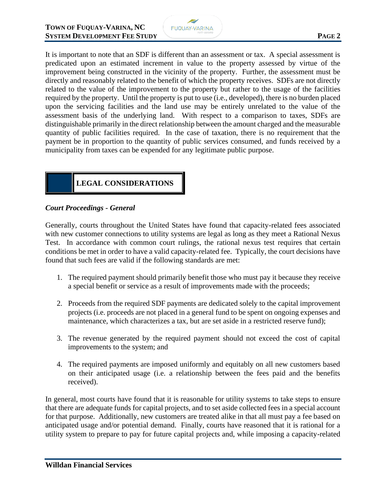

It is important to note that an SDF is different than an assessment or tax. A special assessment is predicated upon an estimated increment in value to the property assessed by virtue of the improvement being constructed in the vicinity of the property. Further, the assessment must be directly and reasonably related to the benefit of which the property receives. SDFs are not directly related to the value of the improvement to the property but rather to the usage of the facilities required by the property. Until the property is put to use (i.e., developed), there is no burden placed upon the servicing facilities and the land use may be entirely unrelated to the value of the assessment basis of the underlying land. With respect to a comparison to taxes, SDFs are distinguishable primarily in the direct relationship between the amount charged and the measurable quantity of public facilities required. In the case of taxation, there is no requirement that the payment be in proportion to the quantity of public services consumed, and funds received by a municipality from taxes can be expended for any legitimate public purpose.

## **LEGAL CONSIDERATIONS**

#### *Court Proceedings - General*

Generally, courts throughout the United States have found that capacity-related fees associated with new customer connections to utility systems are legal as long as they meet a Rational Nexus Test. In accordance with common court rulings, the rational nexus test requires that certain conditions be met in order to have a valid capacity-related fee. Typically, the court decisions have found that such fees are valid if the following standards are met:

- 1. The required payment should primarily benefit those who must pay it because they receive a special benefit or service as a result of improvements made with the proceeds;
- 2. Proceeds from the required SDF payments are dedicated solely to the capital improvement projects (i.e. proceeds are not placed in a general fund to be spent on ongoing expenses and maintenance, which characterizes a tax, but are set aside in a restricted reserve fund);
- 3. The revenue generated by the required payment should not exceed the cost of capital improvements to the system; and
- 4. The required payments are imposed uniformly and equitably on all new customers based on their anticipated usage (i.e. a relationship between the fees paid and the benefits received).

In general, most courts have found that it is reasonable for utility systems to take steps to ensure that there are adequate funds for capital projects, and to set aside collected fees in a special account for that purpose. Additionally, new customers are treated alike in that all must pay a fee based on anticipated usage and/or potential demand. Finally, courts have reasoned that it is rational for a utility system to prepare to pay for future capital projects and, while imposing a capacity-related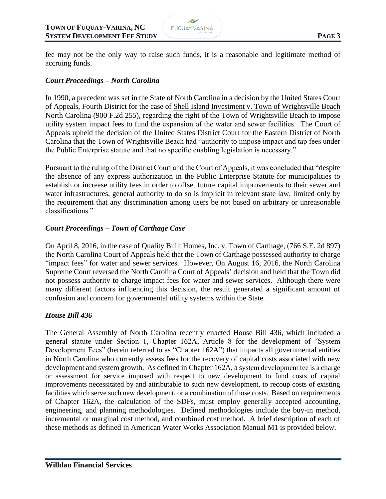

fee may not be the only way to raise such funds, it is a reasonable and legitimate method of accruing funds.

#### *Court Proceedings – North Carolina*

In 1990, a precedent was set in the State of North Carolina in a decision by the United States Court of Appeals, Fourth District for the case of Shell Island Investment v. Town of Wrightsville Beach North Carolina (900 F.2d 255), regarding the right of the Town of Wrightsville Beach to impose utility system impact fees to fund the expansion of the water and sewer facilities. The Court of Appeals upheld the decision of the United States District Court for the Eastern District of North Carolina that the Town of Wrightsville Beach had "authority to impose impact and tap fees under the Public Enterprise statute and that no specific enabling legislation is necessary."

Pursuant to the ruling of the District Court and the Court of Appeals, it was concluded that "despite the absence of any express authorization in the Public Enterprise Statute for municipalities to establish or increase utility fees in order to offset future capital improvements to their sewer and water infrastructures, general authority to do so is implicit in relevant state law, limited only by the requirement that any discrimination among users be not based on arbitrary or unreasonable classifications."

#### *Court Proceedings – Town of Carthage Case*

On April 8, 2016, in the case of Quality Built Homes, Inc. v. Town of Carthage, (766 S.E. 2d 897) the North Carolina Court of Appeals held that the Town of Carthage possessed authority to charge "impact fees" for water and sewer services. However, On August 16, 2016, the North Carolina Supreme Court reversed the North Carolina Court of Appeals' decision and held that the Town did not possess authority to charge impact fees for water and sewer services. Although there were many different factors influencing this decision, the result generated a significant amount of confusion and concern for governmental utility systems within the State.

#### *House Bill 436*

The General Assembly of North Carolina recently enacted House Bill 436, which included a general statute under Section 1, Chapter 162A, Article 8 for the development of "System Development Fees" (herein referred to as "Chapter 162A") that impacts all governmental entities in North Carolina who currently assess fees for the recovery of capital costs associated with new development and system growth. As defined in Chapter 162A, a system development fee is a charge or assessment for service imposed with respect to new development to fund costs of capital improvements necessitated by and attributable to such new development, to recoup costs of existing facilities which serve such new development, or a combination of those costs. Based on requirements of Chapter 162A, the calculation of the SDFs, must employ generally accepted accounting, engineering, and planning methodologies. Defined methodologies include the buy-in method, incremental or marginal cost method, and combined cost method. A brief description of each of these methods as defined in American Water Works Association Manual M1 is provided below.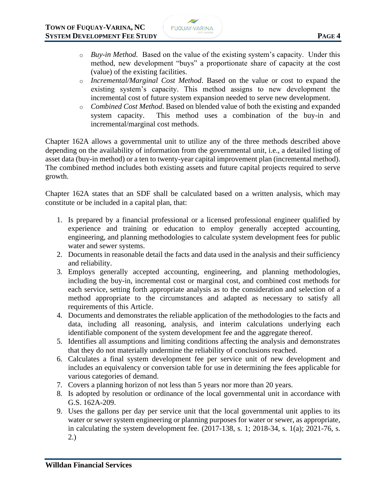- o *Buy-in Method.* Based on the value of the existing system's capacity. Under this method, new development "buys" a proportionate share of capacity at the cost (value) of the existing facilities.
- o *Incremental/Marginal Cost Method*. Based on the value or cost to expand the existing system's capacity. This method assigns to new development the incremental cost of future system expansion needed to serve new development.
- o *Combined Cost Method*. Based on blended value of both the existing and expanded system capacity. This method uses a combination of the buy-in and incremental/marginal cost methods.

Chapter 162A allows a governmental unit to utilize any of the three methods described above depending on the availability of information from the governmental unit, i.e., a detailed listing of asset data (buy-in method) or a ten to twenty-year capital improvement plan (incremental method). The combined method includes both existing assets and future capital projects required to serve growth.

Chapter 162A states that an SDF shall be calculated based on a written analysis, which may constitute or be included in a capital plan, that:

- 1. Is prepared by a financial professional or a licensed professional engineer qualified by experience and training or education to employ generally accepted accounting, engineering, and planning methodologies to calculate system development fees for public water and sewer systems.
- 2. Documents in reasonable detail the facts and data used in the analysis and their sufficiency and reliability.
- 3. Employs generally accepted accounting, engineering, and planning methodologies, including the buy-in, incremental cost or marginal cost, and combined cost methods for each service, setting forth appropriate analysis as to the consideration and selection of a method appropriate to the circumstances and adapted as necessary to satisfy all requirements of this Article.
- 4. Documents and demonstrates the reliable application of the methodologies to the facts and data, including all reasoning, analysis, and interim calculations underlying each identifiable component of the system development fee and the aggregate thereof.
- 5. Identifies all assumptions and limiting conditions affecting the analysis and demonstrates that they do not materially undermine the reliability of conclusions reached.
- 6. Calculates a final system development fee per service unit of new development and includes an equivalency or conversion table for use in determining the fees applicable for various categories of demand.
- 7. Covers a planning horizon of not less than 5 years nor more than 20 years.
- 8. Is adopted by resolution or ordinance of the local governmental unit in accordance with G.S. 162A-209.
- 9. Uses the gallons per day per service unit that the local governmental unit applies to its water or sewer system engineering or planning purposes for water or sewer, as appropriate, in calculating the system development fee. (2017-138, s. 1; 2018-34, s. 1(a); 2021-76, s. 2.)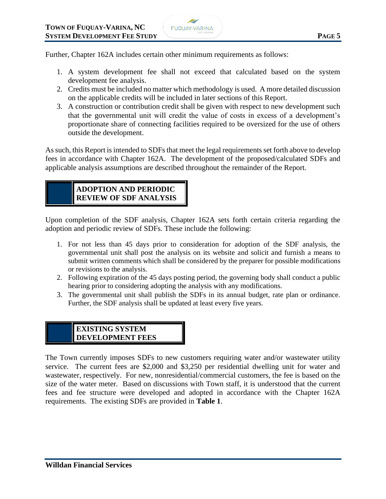

Further, Chapter 162A includes certain other minimum requirements as follows:

- 1. A system development fee shall not exceed that calculated based on the system development fee analysis.
- 2. Credits must be included no matter which methodology is used. A more detailed discussion on the applicable credits will be included in later sections of this Report.
- 3. A construction or contribution credit shall be given with respect to new development such that the governmental unit will credit the value of costs in excess of a development's proportionate share of connecting facilities required to be oversized for the use of others outside the development.

As such, this Report is intended to SDFs that meet the legal requirements set forth above to develop fees in accordance with Chapter 162A. The development of the proposed/calculated SDFs and applicable analysis assumptions are described throughout the remainder of the Report.

## **ADOPTION AND PERIODIC REVIEW OF SDF ANALYSIS**

Upon completion of the SDF analysis, Chapter 162A sets forth certain criteria regarding the adoption and periodic review of SDFs. These include the following:

- 1. For not less than 45 days prior to consideration for adoption of the SDF analysis, the governmental unit shall post the analysis on its website and solicit and furnish a means to submit written comments which shall be considered by the preparer for possible modifications or revisions to the analysis.
- 2. Following expiration of the 45 days posting period, the governing body shall conduct a public hearing prior to considering adopting the analysis with any modifications.
- 3. The governmental unit shall publish the SDFs in its annual budget, rate plan or ordinance. Further, the SDF analysis shall be updated at least every five years.

#### **EXISTING SYSTEM DEVELOPMENT FEES**

The Town currently imposes SDFs to new customers requiring water and/or wastewater utility service. The current fees are \$2,000 and \$3,250 per residential dwelling unit for water and wastewater, respectively. For new, nonresidential/commercial customers, the fee is based on the size of the water meter. Based on discussions with Town staff, it is understood that the current fees and fee structure were developed and adopted in accordance with the Chapter 162A requirements. The existing SDFs are provided in **Table 1**.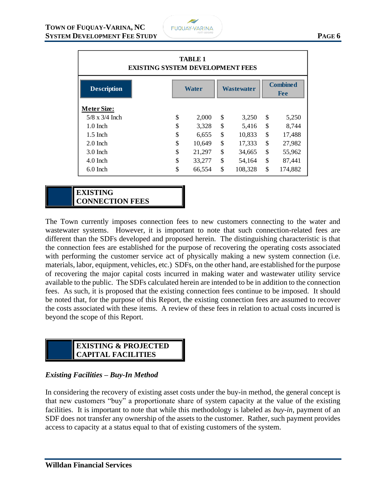

| <b>TABLE 1</b><br><b>EXISTING SYSTEM DEVELOPMENT FEES</b> |    |        |    |            |                               |         |  |  |  |  |  |
|-----------------------------------------------------------|----|--------|----|------------|-------------------------------|---------|--|--|--|--|--|
| <b>Description</b>                                        |    | Water  |    | Wastewater | <b>Combined</b><br><b>Fee</b> |         |  |  |  |  |  |
| <b>Meter Size:</b>                                        |    |        |    |            |                               |         |  |  |  |  |  |
| $5/8$ x $3/4$ Inch                                        | \$ | 2,000  | \$ | 3,250      | \$                            | 5,250   |  |  |  |  |  |
| $1.0$ Inch                                                | \$ | 3,328  | \$ | 5,416      | \$                            | 8,744   |  |  |  |  |  |
| $1.5$ Inch                                                | \$ | 6,655  | \$ | 10,833     | \$                            | 17,488  |  |  |  |  |  |
| $2.0$ Inch                                                | \$ | 10,649 | \$ | 17,333     | \$                            | 27,982  |  |  |  |  |  |
| $3.0$ Inch                                                | \$ | 21,297 | \$ | 34,665     | \$                            | 55,962  |  |  |  |  |  |
| $4.0$ Inch                                                | \$ | 33,277 | \$ | 54,164     | \$                            | 87,441  |  |  |  |  |  |
| $6.0$ Inch                                                | \$ | 66,554 | \$ | 108,328    | \$                            | 174,882 |  |  |  |  |  |

**EXISTING CONNECTION FEES**

The Town currently imposes connection fees to new customers connecting to the water and wastewater systems. However, it is important to note that such connection-related fees are different than the SDFs developed and proposed herein. The distinguishing characteristic is that the connection fees are established for the purpose of recovering the operating costs associated with performing the customer service act of physically making a new system connection (i.e. materials, labor, equipment, vehicles, etc.) SDFs, on the other hand, are established for the purpose of recovering the major capital costs incurred in making water and wastewater utility service available to the public. The SDFs calculated herein are intended to be in addition to the connection fees. As such, it is proposed that the existing connection fees continue to be imposed. It should be noted that, for the purpose of this Report, the existing connection fees are assumed to recover the costs associated with these items. A review of these fees in relation to actual costs incurred is beyond the scope of this Report.

## **EXISTING & PROJECTED CAPITAL FACILITIES**

#### *Existing Facilities – Buy-In Method*

In considering the recovery of existing asset costs under the buy-in method, the general concept is that new customers "buy" a proportionate share of system capacity at the value of the existing facilities. It is important to note that while this methodology is labeled as *buy-in*, payment of an SDF does not transfer any ownership of the assets to the customer. Rather, such payment provides access to capacity at a status equal to that of existing customers of the system.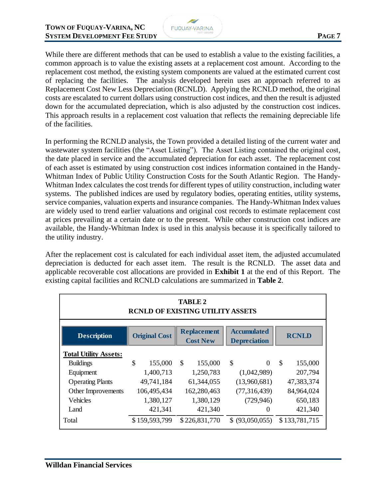

While there are different methods that can be used to establish a value to the existing facilities, a common approach is to value the existing assets at a replacement cost amount. According to the replacement cost method, the existing system components are valued at the estimated current cost of replacing the facilities. The analysis developed herein uses an approach referred to as Replacement Cost New Less Depreciation (RCNLD). Applying the RCNLD method, the original costs are escalated to current dollars using construction cost indices, and then the result is adjusted down for the accumulated depreciation, which is also adjusted by the construction cost indices. This approach results in a replacement cost valuation that reflects the remaining depreciable life of the facilities.

In performing the RCNLD analysis, the Town provided a detailed listing of the current water and wastewater system facilities (the "Asset Listing"). The Asset Listing contained the original cost, the date placed in service and the accumulated depreciation for each asset. The replacement cost of each asset is estimated by using construction cost indices information contained in the Handy-Whitman Index of Public Utility Construction Costs for the South Atlantic Region. The Handy-Whitman Index calculates the cost trends for different types of utility construction, including water systems. The published indices are used by regulatory bodies, operating entities, utility systems, service companies, valuation experts and insurance companies. The Handy-Whitman Index values are widely used to trend earlier valuations and original cost records to estimate replacement cost at prices prevailing at a certain date or to the present. While other construction cost indices are available, the Handy-Whitman Index is used in this analysis because it is specifically tailored to the utility industry.

After the replacement cost is calculated for each individual asset item, the adjusted accumulated depreciation is deducted for each asset item. The result is the RCNLD. The asset data and applicable recoverable cost allocations are provided in **Exhibit 1** at the end of this Report. The existing capital facilities and RCNLD calculations are summarized in **Table 2**.

| <b>TABLE 2</b><br><b>RCNLD OF EXISTING UTILITY ASSETS</b> |    |                      |            |                                       |              |                                           |              |               |  |  |  |
|-----------------------------------------------------------|----|----------------------|------------|---------------------------------------|--------------|-------------------------------------------|--------------|---------------|--|--|--|
| <b>Description</b>                                        |    | <b>Original Cost</b> |            | <b>Replacement</b><br><b>Cost New</b> |              | <b>Accumulated</b><br><b>Depreciation</b> | <b>RCNLD</b> |               |  |  |  |
| <b>Total Utility Assets:</b>                              |    |                      |            |                                       |              |                                           |              |               |  |  |  |
| <b>Buildings</b>                                          | \$ | 155,000              | \$         | 155,000                               | \$           | $\Omega$                                  | $\mathbb{S}$ | 155,000       |  |  |  |
| Equipment                                                 |    | 1,400,713            | 1,250,783  |                                       | (1,042,989)  |                                           |              | 207,794       |  |  |  |
| <b>Operating Plants</b>                                   |    | 49,741,184           | 61,344,055 |                                       | (13,960,681) |                                           |              | 47,383,374    |  |  |  |
| Other Improvements                                        |    | 106,495,434          |            | 162,280,463                           |              | (77, 316, 439)                            |              | 84,964,024    |  |  |  |
| Vehicles                                                  |    | 1,380,127            |            | 1,380,129                             |              | (729, 946)                                |              | 650,183       |  |  |  |
| Land                                                      |    | 421,341              |            | 421,340                               |              | $\theta$                                  | 421,340      |               |  |  |  |
| Total                                                     |    | \$159,593,799        |            | \$226,831,770                         |              | \$ (93,050,055)                           |              | \$133,781,715 |  |  |  |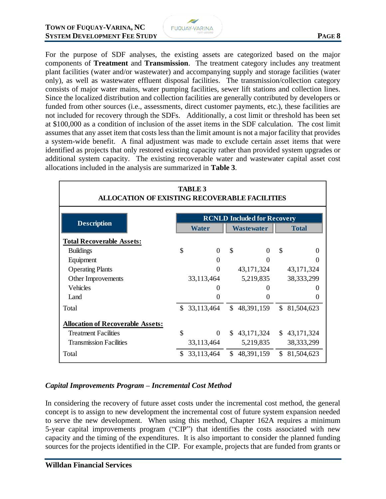

For the purpose of SDF analyses, the existing assets are categorized based on the major components of **Treatment** and **Transmission**. The treatment category includes any treatment plant facilities (water and/or wastewater) and accompanying supply and storage facilities (water only), as well as wastewater effluent disposal facilities. The transmission/collection category consists of major water mains, water pumping facilities, sewer lift stations and collection lines. Since the localized distribution and collection facilities are generally contributed by developers or funded from other sources (i.e., assessments, direct customer payments, etc.), these facilities are not included for recovery through the SDFs. Additionally, a cost limit or threshold has been set at \$100,000 as a condition of inclusion of the asset items in the SDF calculation. The cost limit assumes that any asset item that costs less than the limit amount is not a major facility that provides a system-wide benefit. A final adjustment was made to exclude certain asset items that were identified as projects that only restored existing capacity rather than provided system upgrades or additional system capacity. The existing recoverable water and wastewater capital asset cost allocations included in the analysis are summarized in **Table 3**.

| <b>TABLE 3</b><br><b>ALLOCATION OF EXISTING RECOVERABLE FACILITIES</b> |                                    |                          |              |                   |                |              |  |  |  |  |
|------------------------------------------------------------------------|------------------------------------|--------------------------|--------------|-------------------|----------------|--------------|--|--|--|--|
| <b>Description</b>                                                     | <b>RCNLD Included for Recovery</b> |                          |              |                   |                |              |  |  |  |  |
|                                                                        |                                    | <b>Water</b>             |              | <b>Wastewater</b> | <b>Total</b>   |              |  |  |  |  |
| <b>Total Recoverable Assets:</b>                                       |                                    |                          |              |                   |                |              |  |  |  |  |
| <b>Buildings</b>                                                       | \$                                 | $\Omega$                 | \$           | $\Omega$          | $\mathcal{S}$  | 0            |  |  |  |  |
| Equipment                                                              |                                    | $\Omega$                 |              | 0                 |                | 0            |  |  |  |  |
| <b>Operating Plants</b>                                                |                                    | $\Omega$                 |              | 43, 171, 324      |                | 43, 171, 324 |  |  |  |  |
| Other Improvements                                                     |                                    | 33,113,464               |              | 5,219,835         |                | 38, 333, 299 |  |  |  |  |
| Vehicles                                                               |                                    |                          |              |                   |                | 0            |  |  |  |  |
| Land                                                                   |                                    | 0                        |              | 0                 |                | 0            |  |  |  |  |
| Total                                                                  | \$.                                | 33,113,464               | $\mathbb{S}$ | 48,391,159        | \$             | 81,504,623   |  |  |  |  |
| <b>Allocation of Recoverable Assets:</b>                               |                                    |                          |              |                   |                |              |  |  |  |  |
| <b>Treatment Facilities</b>                                            | \$                                 | $\Omega$                 | S.           | 43, 171, 324      | $\mathbb{S}^-$ | 43, 171, 324 |  |  |  |  |
| <b>Transmission Facilities</b>                                         |                                    | 33,113,464               |              | 5,219,835         |                | 38, 333, 299 |  |  |  |  |
| Total                                                                  | \$.                                | 33,113,464 \$ 48,391,159 |              |                   | \$             | 81,504,623   |  |  |  |  |

#### *Capital Improvements Program – Incremental Cost Method*

In considering the recovery of future asset costs under the incremental cost method, the general concept is to assign to new development the incremental cost of future system expansion needed to serve the new development. When using this method, Chapter 162A requires a minimum 5-year capital improvements program ("CIP") that identifies the costs associated with new capacity and the timing of the expenditures. It is also important to consider the planned funding sources for the projects identified in the CIP. For example, projects that are funded from grants or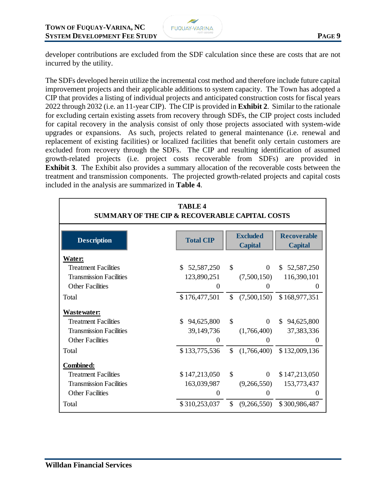

developer contributions are excluded from the SDF calculation since these are costs that are not incurred by the utility.

The SDFs developed herein utilize the incremental cost method and therefore include future capital improvement projects and their applicable additions to system capacity. The Town has adopted a CIP that provides a listing of individual projects and anticipated construction costs for fiscal years 2022 through 2032 (i.e. an 11-year CIP). The CIP is provided in **Exhibit 2**. Similar to the rationale for excluding certain existing assets from recovery through SDFs, the CIP project costs included for capital recovery in the analysis consist of only those projects associated with system-wide upgrades or expansions. As such, projects related to general maintenance (i.e. renewal and replacement of existing facilities) or localized facilities that benefit only certain customers are excluded from recovery through the SDFs. The CIP and resulting identification of assumed growth-related projects (i.e. project costs recoverable from SDFs) are provided in **Exhibit 3**. The Exhibit also provides a summary allocation of the recoverable costs between the treatment and transmission components. The projected growth-related projects and capital costs included in the analysis are summarized in **Table 4**.

| <b>TABLE 4</b><br><b>SUMMARY OF THE CIP &amp; RECOVERABLE CAPITAL COSTS</b> |                   |               |                                   |                                      |  |  |  |  |  |  |  |
|-----------------------------------------------------------------------------|-------------------|---------------|-----------------------------------|--------------------------------------|--|--|--|--|--|--|--|
| <b>Description</b>                                                          | <b>Total CIP</b>  |               | <b>Excluded</b><br><b>Capital</b> | <b>Recoverable</b><br><b>Capital</b> |  |  |  |  |  |  |  |
| <b>Water:</b>                                                               |                   |               |                                   |                                      |  |  |  |  |  |  |  |
| <b>Treatment Facilities</b>                                                 | \$.<br>52,587,250 | \$            | $\theta$                          | \$52,587,250                         |  |  |  |  |  |  |  |
| <b>Transmission Facilities</b>                                              | 123,890,251       |               | (7,500,150)                       | 116,390,101                          |  |  |  |  |  |  |  |
| <b>Other Facilities</b>                                                     | $\theta$          |               | $\Omega$                          | $\theta$                             |  |  |  |  |  |  |  |
| Total                                                                       | \$176,477,501     | $\mathcal{S}$ | (7,500,150)                       | \$168,977,351                        |  |  |  |  |  |  |  |
| <u>Wastewater:</u>                                                          |                   |               |                                   |                                      |  |  |  |  |  |  |  |
| <b>Treatment Facilities</b>                                                 | \$<br>94,625,800  | \$            | $\Omega$                          | 94,625,800<br>\$.                    |  |  |  |  |  |  |  |
| <b>Transmission Facilities</b>                                              | 39,149,736        |               | (1,766,400)                       | 37, 383, 336                         |  |  |  |  |  |  |  |
| <b>Other Facilities</b>                                                     | $\boldsymbol{0}$  |               | 0                                 | 0                                    |  |  |  |  |  |  |  |
| Total                                                                       | \$133,775,536     | $\mathcal{S}$ | (1,766,400)                       | \$132,009,136                        |  |  |  |  |  |  |  |
| Combined:                                                                   |                   |               |                                   |                                      |  |  |  |  |  |  |  |
| <b>Treatment Facilities</b>                                                 | \$147,213,050     | \$            | $\theta$                          | \$147,213,050                        |  |  |  |  |  |  |  |
| <b>Transmission Facilities</b>                                              | 163,039,987       |               | (9,266,550)                       | 153,773,437                          |  |  |  |  |  |  |  |
| <b>Other Facilities</b>                                                     | $\theta$          |               | $\Omega$                          | 0                                    |  |  |  |  |  |  |  |
| Total                                                                       | \$310,253,037     | $\mathcal{S}$ | (9,266,550)                       | \$300,986,487                        |  |  |  |  |  |  |  |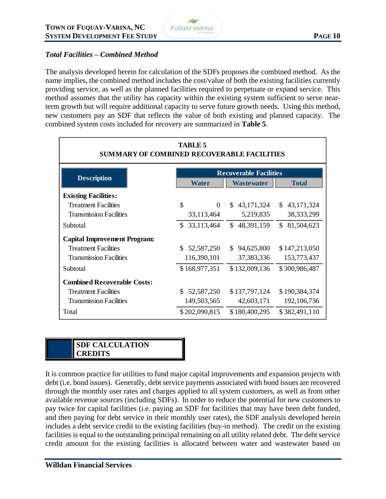

#### *Total Facilities – Combined Method*

The analysis developed herein for calculation of the SDFs proposes the combined method. As the name implies, the combined method includes the cost/value of both the existing facilities currently providing service, as well as the planned facilities required to perpetuate or expand service. This method assumes that the utility has capacity within the existing system sufficient to serve nearterm growth but will require additional capacity to serve future growth needs. Using this method, new customers pay an SDF that reflects the value of both existing and planned capacity. The combined system costs included for recovery are summarized in **Table 5**.

| <b>TABLE 5</b><br><b>SUMMARY OF COMBINED RECOVERABLE FACILITIES</b> |                               |                   |                  |  |  |  |  |  |  |  |  |
|---------------------------------------------------------------------|-------------------------------|-------------------|------------------|--|--|--|--|--|--|--|--|
|                                                                     | <b>Recoverable Facilities</b> |                   |                  |  |  |  |  |  |  |  |  |
| <b>Description</b>                                                  | <b>Water</b>                  | <b>Wastewater</b> | <b>Total</b>     |  |  |  |  |  |  |  |  |
| <b>Existing Facilities:</b>                                         |                               |                   |                  |  |  |  |  |  |  |  |  |
| <b>Treatment Facilities</b>                                         | \$<br>$\theta$                | 43,171,324<br>\$. | \$43,171,324     |  |  |  |  |  |  |  |  |
| <b>Transmission Facilities</b>                                      | 33,113,464                    | 5,219,835         | 38, 333, 299     |  |  |  |  |  |  |  |  |
| Subtotal                                                            | 33,113,464<br>\$              | \$48,391,159      | \$<br>81,504,623 |  |  |  |  |  |  |  |  |
| <b>Capital Improvement Program:</b>                                 |                               |                   |                  |  |  |  |  |  |  |  |  |
| <b>Treatment Facilities</b>                                         | \$.<br>52,587,250             | \$94,625,800      | \$147,213,050    |  |  |  |  |  |  |  |  |
| <b>Transmission Facilities</b>                                      | 116,390,101                   | 37, 383, 336      | 153,773,437      |  |  |  |  |  |  |  |  |
| Subtotal                                                            | \$168,977,351                 | \$132,009,136     | \$300,986,487    |  |  |  |  |  |  |  |  |
| <b>Combined Recoverable Costs:</b>                                  |                               |                   |                  |  |  |  |  |  |  |  |  |
| <b>Treatment Facilities</b>                                         | 52,587,250<br>S.              | \$137,797,124     | \$190,384,374    |  |  |  |  |  |  |  |  |
| <b>Transmission Facilities</b>                                      | 149,503,565                   | 42,603,171        | 192, 106, 736    |  |  |  |  |  |  |  |  |
| Total                                                               | \$202,090,815                 | \$180,400,295     | \$382,491,110    |  |  |  |  |  |  |  |  |

#### **SDF CALCULATION CREDITS**

It is common practice for utilities to fund major capital improvements and expansion projects with debt (i.e. bond issues). Generally, debt service payments associated with bond issues are recovered through the monthly user rates and charges applied to all system customers, as well as from other available revenue sources (including SDFs). In order to reduce the potential for new customers to pay twice for capital facilities (i.e. paying an SDF for facilities that may have been debt funded, and then paying for debt service in their monthly user rates), the SDF analysis developed herein includes a debt service credit to the existing facilities (buy-in method). The credit on the existing facilities is equal to the outstanding principal remaining on all utility related debt. The debt service credit amount for the existing facilities is allocated between water and wastewater based on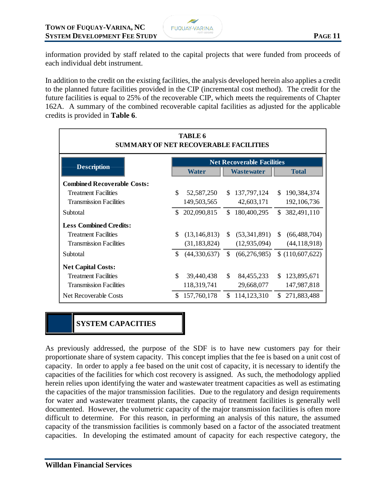information provided by staff related to the capital projects that were funded from proceeds of each individual debt instrument.

In addition to the credit on the existing facilities, the analysis developed herein also applies a credit to the planned future facilities provided in the CIP (incremental cost method). The credit for the future facilities is equal to 25% of the recoverable CIP, which meets the requirements of Chapter 162A. A summary of the combined recoverable capital facilities as adjusted for the applicable credits is provided in **Table 6**.

| TABLE 6<br><b>SUMMARY OF NET RECOVERABLE FACILITIES</b> |     |                |     |                                   |               |                 |  |  |  |  |  |
|---------------------------------------------------------|-----|----------------|-----|-----------------------------------|---------------|-----------------|--|--|--|--|--|
|                                                         |     |                |     | <b>Net Recoverable Facilities</b> |               |                 |  |  |  |  |  |
| <b>Description</b>                                      |     | Water          |     | <b>Wastewater</b>                 |               | <b>Total</b>    |  |  |  |  |  |
| <b>Combined Recoverable Costs:</b>                      |     |                |     |                                   |               |                 |  |  |  |  |  |
| <b>Treatment Facilities</b>                             | \$  | 52,587,250     | \$. | 137,797,124                       | <sup>\$</sup> | 190,384,374     |  |  |  |  |  |
| <b>Transmission Facilities</b>                          |     | 149,503,565    |     | 42,603,171                        |               | 192, 106, 736   |  |  |  |  |  |
| Subtotal                                                |     | \$202,090,815  | \$. | 180,400,295                       |               | \$382,491,110   |  |  |  |  |  |
| <b>Less Combined Credits:</b>                           |     |                |     |                                   |               |                 |  |  |  |  |  |
| <b>Treatment Facilities</b>                             | \$. | (13, 146, 813) | S.  | (53,341,891)                      | <sup>S</sup>  | (66, 488, 704)  |  |  |  |  |  |
| <b>Transmission Facilities</b>                          |     | (31, 183, 824) |     | (12, 935, 094)                    |               | (44, 118, 918)  |  |  |  |  |  |
| Subtotal                                                | \$  | (44,330,637)   | \$  | (66,276,985)                      |               | \$(110,607,622) |  |  |  |  |  |
| <b>Net Capital Costs:</b>                               |     |                |     |                                   |               |                 |  |  |  |  |  |
| <b>Treatment Facilities</b>                             | \$  | 39,440,438     | \$  | 84, 455, 233                      | <sup>S</sup>  | 123,895,671     |  |  |  |  |  |
| <b>Transmission Facilities</b>                          |     | 118,319,741    |     | 29,668,077                        |               | 147,987,818     |  |  |  |  |  |
| Net Recoverable Costs                                   | \$  | 157,760,178    | \$. | 114,123,310                       |               | \$271,883,488   |  |  |  |  |  |

## **SYSTEM CAPACITIES**

As previously addressed, the purpose of the SDF is to have new customers pay for their proportionate share of system capacity. This concept implies that the fee is based on a unit cost of capacity. In order to apply a fee based on the unit cost of capacity, it is necessary to identify the capacities of the facilities for which cost recovery is assigned. As such, the methodology applied herein relies upon identifying the water and wastewater treatment capacities as well as estimating the capacities of the major transmission facilities. Due to the regulatory and design requirements for water and wastewater treatment plants, the capacity of treatment facilities is generally well documented. However, the volumetric capacity of the major transmission facilities is often more difficult to determine. For this reason, in performing an analysis of this nature, the assumed capacity of the transmission facilities is commonly based on a factor of the associated treatment capacities. In developing the estimated amount of capacity for each respective category, the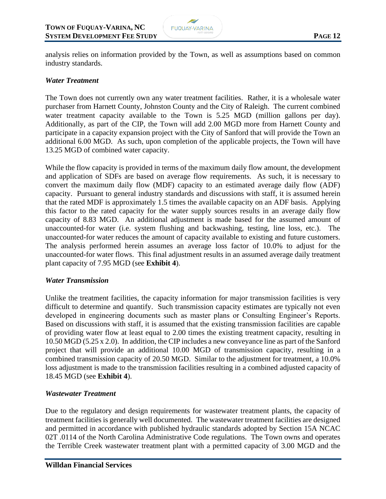

analysis relies on information provided by the Town, as well as assumptions based on common industry standards.

#### *Water Treatment*

The Town does not currently own any water treatment facilities. Rather, it is a wholesale water purchaser from Harnett County, Johnston County and the City of Raleigh. The current combined water treatment capacity available to the Town is 5.25 MGD (million gallons per day). Additionally, as part of the CIP, the Town will add 2.00 MGD more from Harnett County and participate in a capacity expansion project with the City of Sanford that will provide the Town an additional 6.00 MGD. As such, upon completion of the applicable projects, the Town will have 13.25 MGD of combined water capacity.

While the flow capacity is provided in terms of the maximum daily flow amount, the development and application of SDFs are based on average flow requirements. As such, it is necessary to convert the maximum daily flow (MDF) capacity to an estimated average daily flow (ADF) capacity. Pursuant to general industry standards and discussions with staff, it is assumed herein that the rated MDF is approximately 1.5 times the available capacity on an ADF basis. Applying this factor to the rated capacity for the water supply sources results in an average daily flow capacity of 8.83 MGD. An additional adjustment is made based for the assumed amount of unaccounted-for water (i.e. system flushing and backwashing, testing, line loss, etc.). The unaccounted-for water reduces the amount of capacity available to existing and future customers. The analysis performed herein assumes an average loss factor of 10.0% to adjust for the unaccounted-for water flows. This final adjustment results in an assumed average daily treatment plant capacity of 7.95 MGD (see **Exhibit 4**).

#### *Water Transmission*

Unlike the treatment facilities, the capacity information for major transmission facilities is very difficult to determine and quantify. Such transmission capacity estimates are typically not even developed in engineering documents such as master plans or Consulting Engineer's Reports. Based on discussions with staff, it is assumed that the existing transmission facilities are capable of providing water flow at least equal to 2.00 times the existing treatment capacity, resulting in 10.50 MGD (5.25 x 2.0). In addition, the CIP includes a new conveyance line as part of the Sanford project that will provide an additional 10.00 MGD of transmission capacity, resulting in a combined transmission capacity of 20.50 MGD. Similar to the adjustment for treatment, a 10.0% loss adjustment is made to the transmission facilities resulting in a combined adjusted capacity of 18.45 MGD (see **Exhibit 4**).

#### *Wastewater Treatment*

Due to the regulatory and design requirements for wastewater treatment plants, the capacity of treatment facilities is generally well documented. The wastewater treatment facilities are designed and permitted in accordance with published hydraulic standards adopted by Section 15A NCAC 02T .0114 of the North Carolina Administrative Code regulations. The Town owns and operates the Terrible Creek wastewater treatment plant with a permitted capacity of 3.00 MGD and the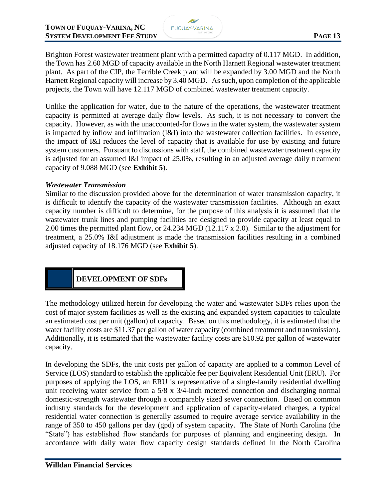

Brighton Forest wastewater treatment plant with a permitted capacity of 0.117 MGD. In addition, the Town has 2.60 MGD of capacity available in the North Harnett Regional wastewater treatment plant. As part of the CIP, the Terrible Creek plant will be expanded by 3.00 MGD and the North Harnett Regional capacity will increase by 3.40 MGD. As such, upon completion of the applicable projects, the Town will have 12.117 MGD of combined wastewater treatment capacity.

Unlike the application for water, due to the nature of the operations, the wastewater treatment capacity is permitted at average daily flow levels. As such, it is not necessary to convert the capacity. However, as with the unaccounted-for flows in the water system, the wastewater system is impacted by inflow and infiltration (I&I) into the wastewater collection facilities. In essence, the impact of I&I reduces the level of capacity that is available for use by existing and future system customers. Pursuant to discussions with staff, the combined wastewater treatment capacity is adjusted for an assumed I&I impact of 25.0%, resulting in an adjusted average daily treatment capacity of 9.088 MGD (see **Exhibit 5**).

#### *Wastewater Transmission*

Similar to the discussion provided above for the determination of water transmission capacity, it is difficult to identify the capacity of the wastewater transmission facilities. Although an exact capacity number is difficult to determine, for the purpose of this analysis it is assumed that the wastewater trunk lines and pumping facilities are designed to provide capacity at least equal to 2.00 times the permitted plant flow, or 24.234 MGD (12.117 x 2.0). Similar to the adjustment for treatment, a 25.0% I&I adjustment is made the transmission facilities resulting in a combined adjusted capacity of 18.176 MGD (see **Exhibit 5**).

**DEVELOPMENT OF SDFs**

The methodology utilized herein for developing the water and wastewater SDFs relies upon the cost of major system facilities as well as the existing and expanded system capacities to calculate an estimated cost per unit (gallon) of capacity. Based on this methodology, it is estimated that the water facility costs are \$11.37 per gallon of water capacity (combined treatment and transmission). Additionally, it is estimated that the wastewater facility costs are \$10.92 per gallon of wastewater capacity.

In developing the SDFs, the unit costs per gallon of capacity are applied to a common Level of Service (LOS) standard to establish the applicable fee per Equivalent Residential Unit (ERU). For purposes of applying the LOS, an ERU is representative of a single-family residential dwelling unit receiving water service from a 5/8 x 3/4-inch metered connection and discharging normal domestic-strength wastewater through a comparably sized sewer connection. Based on common industry standards for the development and application of capacity-related charges, a typical residential water connection is generally assumed to require average service availability in the range of 350 to 450 gallons per day (gpd) of system capacity. The State of North Carolina (the "State") has established flow standards for purposes of planning and engineering design. In accordance with daily water flow capacity design standards defined in the North Carolina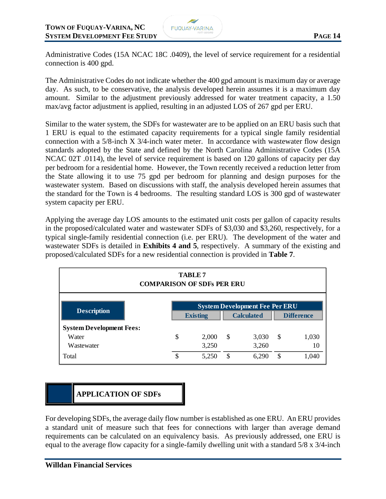Administrative Codes (15A NCAC 18C .0409), the level of service requirement for a residential connection is 400 gpd.

The Administrative Codes do not indicate whether the 400 gpd amount is maximum day or average day. As such, to be conservative, the analysis developed herein assumes it is a maximum day amount. Similar to the adjustment previously addressed for water treatment capacity, a 1.50 max/avg factor adjustment is applied, resulting in an adjusted LOS of 267 gpd per ERU.

Similar to the water system, the SDFs for wastewater are to be applied on an ERU basis such that 1 ERU is equal to the estimated capacity requirements for a typical single family residential connection with a 5/8-inch X 3/4-inch water meter. In accordance with wastewater flow design standards adopted by the State and defined by the North Carolina Administrative Codes (15A NCAC 02T .0114), the level of service requirement is based on 120 gallons of capacity per day per bedroom for a residential home. However, the Town recently received a reduction letter from the State allowing it to use 75 gpd per bedroom for planning and design purposes for the wastewater system. Based on discussions with staff, the analysis developed herein assumes that the standard for the Town is 4 bedrooms. The resulting standard LOS is 300 gpd of wastewater system capacity per ERU.

Applying the average day LOS amounts to the estimated unit costs per gallon of capacity results in the proposed/calculated water and wastewater SDFs of \$3,030 and \$3,260, respectively, for a typical single-family residential connection (i.e. per ERU). The development of the water and wastewater SDFs is detailed in **Exhibits 4 and 5**, respectively. A summary of the existing and proposed/calculated SDFs for a new residential connection is provided in **Table 7**.

| <b>TABLE 7</b><br><b>COMPARISON OF SDFs PER ERU</b> |                                                                                                    |       |               |       |    |       |  |  |  |
|-----------------------------------------------------|----------------------------------------------------------------------------------------------------|-------|---------------|-------|----|-------|--|--|--|
| <b>Description</b>                                  | <b>System Development Fee Per ERU</b><br><b>Calculated</b><br><b>Difference</b><br><b>Existing</b> |       |               |       |    |       |  |  |  |
| <b>System Development Fees:</b>                     |                                                                                                    |       |               |       |    |       |  |  |  |
| Water                                               | \$                                                                                                 | 2,000 | $\mathcal{S}$ | 3,030 | \$ | 1,030 |  |  |  |
| Wastewater                                          |                                                                                                    | 3,250 |               | 3,260 |    | 10    |  |  |  |
| Total                                               | \$                                                                                                 | 5,250 | S             | 6.290 | \$ | 1,040 |  |  |  |

## **APPLICATION OF SDFs**

For developing SDFs, the average daily flow number is established as one ERU. An ERU provides a standard unit of measure such that fees for connections with larger than average demand requirements can be calculated on an equivalency basis. As previously addressed, one ERU is equal to the average flow capacity for a single-family dwelling unit with a standard 5/8 x 3/4-inch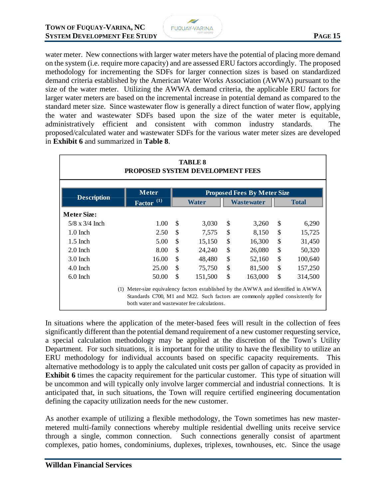

water meter. New connections with larger water meters have the potential of placing more demand on the system (i.e. require more capacity) and are assessed ERU factors accordingly. The proposed methodology for incrementing the SDFs for larger connection sizes is based on standardized demand criteria established by the American Water Works Association (AWWA) pursuant to the size of the water meter. Utilizing the AWWA demand criteria, the applicable ERU factors for larger water meters are based on the incremental increase in potential demand as compared to the standard meter size. Since wastewater flow is generally a direct function of water flow, applying the water and wastewater SDFs based upon the size of the water meter is equitable, administratively efficient and consistent with common industry standards. The proposed/calculated water and wastewater SDFs for the various water meter sizes are developed in **Exhibit 6** and summarized in **Table 8**.

| <b>TABLE 8</b><br>PROPOSED SYSTEM DEVELOPMENT FEES                                                                                                                                                                     |              |    |         |    |                                    |               |              |  |  |  |  |
|------------------------------------------------------------------------------------------------------------------------------------------------------------------------------------------------------------------------|--------------|----|---------|----|------------------------------------|---------------|--------------|--|--|--|--|
|                                                                                                                                                                                                                        | <b>Meter</b> |    |         |    | <b>Proposed Fees By Meter Size</b> |               |              |  |  |  |  |
| <b>Description</b>                                                                                                                                                                                                     | Factor $(1)$ |    | Water   |    | <b>Wastewater</b>                  |               | <b>Total</b> |  |  |  |  |
| <b>Meter Size:</b>                                                                                                                                                                                                     |              |    |         |    |                                    |               |              |  |  |  |  |
| $5/8 \times 3/4$ Inch                                                                                                                                                                                                  | 1.00         | \$ | 3,030   | \$ | 3,260                              | $\mathcal{S}$ | 6,290        |  |  |  |  |
| $1.0$ Inch                                                                                                                                                                                                             | 2.50         | \$ | 7,575   | \$ | 8,150                              | \$            | 15,725       |  |  |  |  |
| $1.5$ Inch                                                                                                                                                                                                             | 5.00         | \$ | 15,150  | \$ | 16,300                             | \$            | 31,450       |  |  |  |  |
| $2.0$ Inch                                                                                                                                                                                                             | 8.00         | \$ | 24,240  | \$ | 26,080                             | \$            | 50,320       |  |  |  |  |
| $3.0$ Inch                                                                                                                                                                                                             | 16.00        | \$ | 48,480  | \$ | 52,160                             | \$            | 100,640      |  |  |  |  |
| $4.0$ Inch                                                                                                                                                                                                             | 25.00        | \$ | 75,750  | \$ | 81,500                             | \$            | 157,250      |  |  |  |  |
| 6.0 Inch                                                                                                                                                                                                               | 50.00        | \$ | 151,500 | \$ | 163,000                            | \$            | 314,500      |  |  |  |  |
| Meter-size equivalency factors established by the AWWA and identified in AWWA<br>(1)<br>Standards C700, M1 and M22. Such factors are commonly applied consistently for<br>both water and was tewater fee calculations. |              |    |         |    |                                    |               |              |  |  |  |  |

In situations where the application of the meter-based fees will result in the collection of fees significantly different than the potential demand requirement of a new customer requesting service, a special calculation methodology may be applied at the discretion of the Town's Utility Department. For such situations, it is important for the utility to have the flexibility to utilize an ERU methodology for individual accounts based on specific capacity requirements. This alternative methodology is to apply the calculated unit costs per gallon of capacity as provided in **Exhibit 6** times the capacity requirement for the particular customer. This type of situation will be uncommon and will typically only involve larger commercial and industrial connections. It is anticipated that, in such situations, the Town will require certified engineering documentation defining the capacity utilization needs for the new customer.

As another example of utilizing a flexible methodology, the Town sometimes has new mastermetered multi-family connections whereby multiple residential dwelling units receive service through a single, common connection. Such connections generally consist of apartment complexes, patio homes, condominiums, duplexes, triplexes, townhouses, etc. Since the usage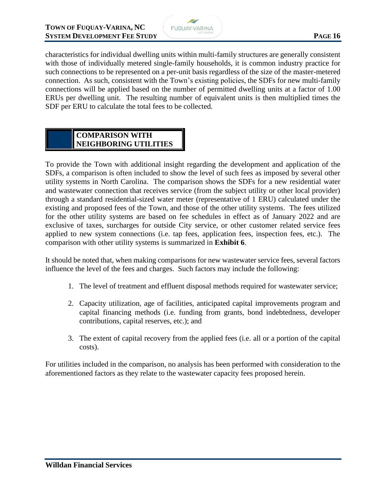

characteristics for individual dwelling units within multi-family structures are generally consistent with those of individually metered single-family households, it is common industry practice for such connections to be represented on a per-unit basis regardless of the size of the master-metered connection. As such, consistent with the Town's existing policies, the SDFs for new multi-family connections will be applied based on the number of permitted dwelling units at a factor of 1.00 ERUs per dwelling unit. The resulting number of equivalent units is then multiplied times the SDF per ERU to calculate the total fees to be collected.

#### **COMPARISON WITH NEIGHBORING UTILITIES**

To provide the Town with additional insight regarding the development and application of the SDFs, a comparison is often included to show the level of such fees as imposed by several other utility systems in North Carolina. The comparison shows the SDFs for a new residential water and wastewater connection that receives service (from the subject utility or other local provider) through a standard residential-sized water meter (representative of 1 ERU) calculated under the existing and proposed fees of the Town, and those of the other utility systems. The fees utilized for the other utility systems are based on fee schedules in effect as of January 2022 and are exclusive of taxes, surcharges for outside City service, or other customer related service fees applied to new system connections (i.e. tap fees, application fees, inspection fees, etc.). The comparison with other utility systems is summarized in **Exhibit 6**.

It should be noted that, when making comparisons for new wastewater service fees, several factors influence the level of the fees and charges. Such factors may include the following:

- 1. The level of treatment and effluent disposal methods required for wastewater service;
- 2. Capacity utilization, age of facilities, anticipated capital improvements program and capital financing methods (i.e. funding from grants, bond indebtedness, developer contributions, capital reserves, etc.); and
- 3. The extent of capital recovery from the applied fees (i.e. all or a portion of the capital costs).

For utilities included in the comparison, no analysis has been performed with consideration to the aforementioned factors as they relate to the wastewater capacity fees proposed herein.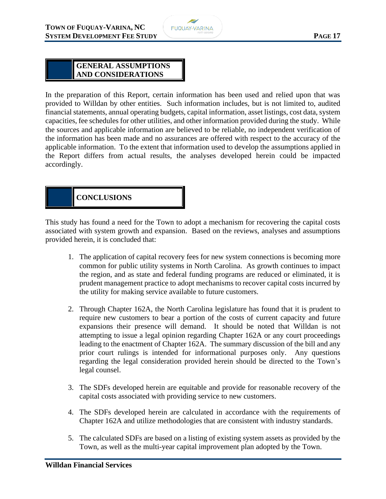

#### **GENERAL ASSUMPTIONS AND CONSIDERATIONS**

In the preparation of this Report, certain information has been used and relied upon that was provided to Willdan by other entities. Such information includes, but is not limited to, audited financial statements, annual operating budgets, capital information, asset listings, cost data, system capacities, fee schedules for other utilities, and other information provided during the study. While the sources and applicable information are believed to be reliable, no independent verification of the information has been made and no assurances are offered with respect to the accuracy of the applicable information. To the extent that information used to develop the assumptions applied in the Report differs from actual results, the analyses developed herein could be impacted accordingly.

## **CONCLUSIONS**

This study has found a need for the Town to adopt a mechanism for recovering the capital costs associated with system growth and expansion. Based on the reviews, analyses and assumptions provided herein, it is concluded that:

- 1. The application of capital recovery fees for new system connections is becoming more common for public utility systems in North Carolina. As growth continues to impact the region, and as state and federal funding programs are reduced or eliminated, it is prudent management practice to adopt mechanisms to recover capital costs incurred by the utility for making service available to future customers.
- 2. Through Chapter 162A, the North Carolina legislature has found that it is prudent to require new customers to bear a portion of the costs of current capacity and future expansions their presence will demand. It should be noted that Willdan is not attempting to issue a legal opinion regarding Chapter 162A or any court proceedings leading to the enactment of Chapter 162A. The summary discussion of the bill and any prior court rulings is intended for informational purposes only. Any questions regarding the legal consideration provided herein should be directed to the Town's legal counsel.
- 3. The SDFs developed herein are equitable and provide for reasonable recovery of the capital costs associated with providing service to new customers.
- 4. The SDFs developed herein are calculated in accordance with the requirements of Chapter 162A and utilize methodologies that are consistent with industry standards.
- 5. The calculated SDFs are based on a listing of existing system assets as provided by the Town, as well as the multi-year capital improvement plan adopted by the Town.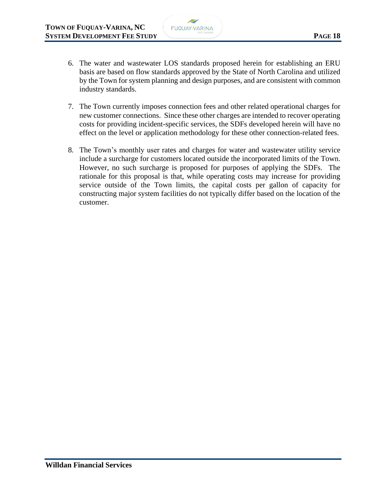

- 6. The water and wastewater LOS standards proposed herein for establishing an ERU basis are based on flow standards approved by the State of North Carolina and utilized by the Town for system planning and design purposes, and are consistent with common industry standards.
- 7. The Town currently imposes connection fees and other related operational charges for new customer connections. Since these other charges are intended to recover operating costs for providing incident-specific services, the SDFs developed herein will have no effect on the level or application methodology for these other connection-related fees.
- 8. The Town's monthly user rates and charges for water and wastewater utility service include a surcharge for customers located outside the incorporated limits of the Town. However, no such surcharge is proposed for purposes of applying the SDFs. The rationale for this proposal is that, while operating costs may increase for providing service outside of the Town limits, the capital costs per gallon of capacity for constructing major system facilities do not typically differ based on the location of the customer.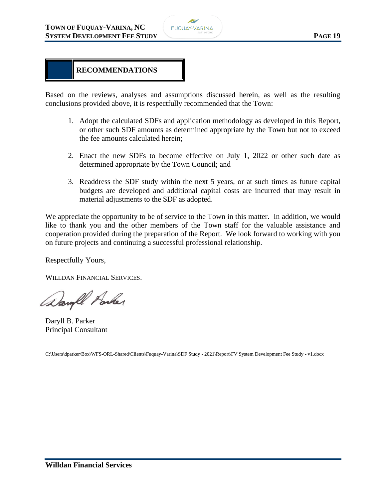

## **RECOMMENDATIONS**

Based on the reviews, analyses and assumptions discussed herein, as well as the resulting conclusions provided above, it is respectfully recommended that the Town:

- 1. Adopt the calculated SDFs and application methodology as developed in this Report, or other such SDF amounts as determined appropriate by the Town but not to exceed the fee amounts calculated herein;
- 2. Enact the new SDFs to become effective on July 1, 2022 or other such date as determined appropriate by the Town Council; and
- 3. Readdress the SDF study within the next 5 years, or at such times as future capital budgets are developed and additional capital costs are incurred that may result in material adjustments to the SDF as adopted.

We appreciate the opportunity to be of service to the Town in this matter. In addition, we would like to thank you and the other members of the Town staff for the valuable assistance and cooperation provided during the preparation of the Report. We look forward to working with you on future projects and continuing a successful professional relationship.

Respectfully Yours,

WILLDAN FINANCIAL SERVICES.

Daugh Porker

Daryll B. Parker Principal Consultant

C:\Users\dparker\Box\WFS-ORL-Shared\Clients\Fuquay-Varina\SDF Study - 2021\Report\FV System Development Fee Study - v1.docx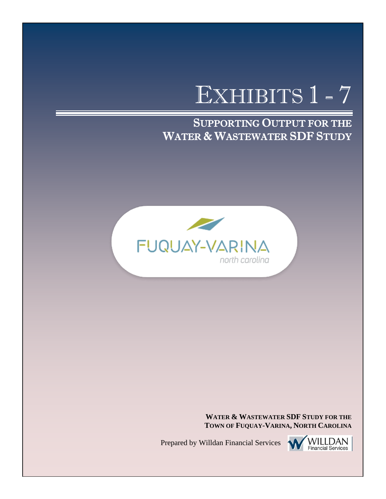# EXHIBITS 1 - 7

SUPPORTING OUTPUT FOR THE WATER & WASTEWATER SDF STUDY



**WATER & WASTEWATER SDF STUDY FOR THE TOWN OF FUQUAY-VARINA, NORTH CAROLINA**

Prepared by Willdan Financial Services

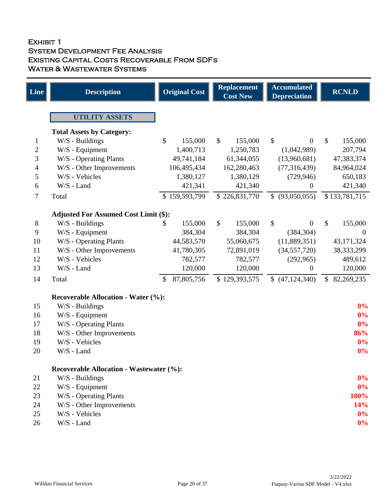#### Exhibit 1 System Development Fee Analysis Existing Capital Costs Recoverable From SDFs WATER & WASTEWATER SYSTEMS

| <b>Line</b> | <b>Description</b>                                              | <b>Original Cost</b>     | <b>Replacement</b><br><b>Cost New</b> | <b>Accumulated</b><br><b>Depreciation</b> | <b>RCNLD</b>     |
|-------------|-----------------------------------------------------------------|--------------------------|---------------------------------------|-------------------------------------------|------------------|
|             | <b>UTILITY ASSETS</b>                                           |                          |                                       |                                           |                  |
|             |                                                                 |                          |                                       |                                           |                  |
|             | <b>Total Assets by Category:</b><br>W/S - Buildings             | $\mathcal{S}$<br>155,000 | $\mathbb{S}$<br>155,000               | $\mathcal{S}$<br>$\overline{0}$           | \$<br>155,000    |
| 1<br>2      | W/S - Equipment                                                 | 1,400,713                | 1,250,783                             | (1,042,989)                               | 207,794          |
| 3           | W/S - Operating Plants                                          | 49,741,184               | 61,344,055                            | (13,960,681)                              | 47,383,374       |
| 4           | W/S - Other Improvements                                        | 106,495,434              | 162,280,463                           | (77, 316, 439)                            | 84,964,024       |
| 5           | W/S - Vehicles                                                  | 1,380,127                | 1,380,129                             | (729, 946)                                | 650,183          |
| 6           | W/S - Land                                                      | 421,341                  | 421,340                               | $\theta$                                  | 421,340          |
| 7           | Total                                                           | \$159,593,799            | \$226,831,770                         | (93,050,055)<br>$\mathbb{S}$              | \$133,781,715    |
|             |                                                                 |                          |                                       |                                           |                  |
| $8\,$       | <b>Adjusted For Assumed Cost Limit (\$):</b><br>W/S - Buildings | 155,000<br>\$            | \$<br>155,000                         | \$<br>$\overline{0}$                      | \$<br>155,000    |
| 9           | W/S - Equipment                                                 | 384,304                  | 384,304                               | (384, 304)                                | $\overline{0}$   |
| 10          | W/S - Operating Plants                                          | 44,583,570               | 55,060,675                            | (11,889,351)                              | 43,171,324       |
| 11          | W/S - Other Improvements                                        | 41,780,305               | 72,891,019                            | (34, 557, 720)                            | 38, 333, 299     |
| 12          | W/S - Vehicles                                                  | 782,577                  | 782,577                               | (292,965)                                 | 489,612          |
| 13          | W/S - Land                                                      | 120,000                  | 120,000                               | $\boldsymbol{0}$                          | 120,000          |
| 14          | Total                                                           | 87,805,756<br>\$         | \$129,393,575                         | (47, 124, 340)                            | 82,269,235<br>\$ |
|             |                                                                 |                          |                                       |                                           |                  |
| 15          | <b>Recoverable Allocation - Water (%):</b><br>W/S - Buildings   |                          |                                       |                                           | 0%               |
| 16          | W/S - Equipment                                                 |                          |                                       |                                           | 0%               |
| 17          | W/S - Operating Plants                                          |                          |                                       |                                           | 0%               |
| 18          | W/S - Other Improvements                                        |                          |                                       |                                           | 86%              |
| 19          | W/S - Vehicles                                                  |                          |                                       |                                           | 0%               |
| 20          | W/S - Land                                                      |                          |                                       |                                           | $0\%$            |
|             |                                                                 |                          |                                       |                                           |                  |
|             | <b>Recoverable Allocation - Wastewater (%):</b>                 |                          |                                       |                                           |                  |
| 21          | W/S - Buildings                                                 |                          |                                       |                                           | $0\%$            |
| 22<br>23    | W/S - Equipment                                                 |                          |                                       |                                           | $0\%$<br>100%    |
| 24          | W/S - Operating Plants                                          |                          |                                       |                                           | 14%              |
| 25          | W/S - Other Improvements<br>W/S - Vehicles                      |                          |                                       |                                           | $0\%$            |
| 26          | W/S - Land                                                      |                          |                                       |                                           | $0\%$            |
|             |                                                                 |                          |                                       |                                           |                  |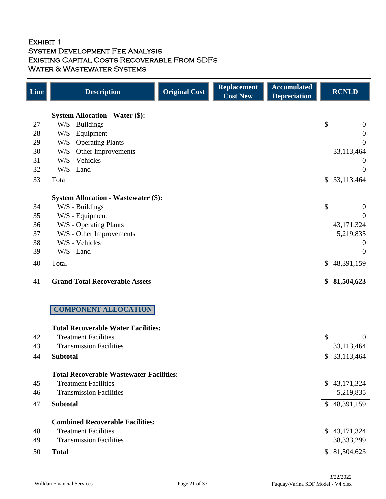## Exhibit 1 System Development Fee Analysis Existing Capital Costs Recoverable From SDFs WATER & WASTEWATER SYSTEMS

| <b>Line</b> | <b>Description</b>                              | <b>Original Cost</b> | <b>Replacement</b><br><b>Cost New</b> | <b>Accumulated</b><br><b>Depreciation</b> | <b>RCNLD</b>                 |
|-------------|-------------------------------------------------|----------------------|---------------------------------------|-------------------------------------------|------------------------------|
|             | <b>System Allocation - Water (\$):</b>          |                      |                                       |                                           |                              |
| 27          | W/S - Buildings                                 |                      |                                       |                                           | \$<br>$\theta$               |
| 28          | W/S - Equipment                                 |                      |                                       |                                           | $\overline{0}$               |
| 29          | W/S - Operating Plants                          |                      |                                       |                                           | $\theta$                     |
| 30          | W/S - Other Improvements                        |                      |                                       |                                           | 33,113,464                   |
| 31          | W/S - Vehicles                                  |                      |                                       |                                           | $\overline{0}$               |
| 32          | W/S - Land                                      |                      |                                       |                                           | $\theta$                     |
| 33          | Total                                           |                      |                                       |                                           | \$33,113,464                 |
|             | <b>System Allocation - Wastewater (\$):</b>     |                      |                                       |                                           |                              |
| 34          | W/S - Buildings                                 |                      |                                       |                                           | \$<br>$\boldsymbol{0}$       |
| 35          | W/S - Equipment                                 |                      |                                       |                                           | $\Omega$                     |
| 36          | W/S - Operating Plants                          |                      |                                       |                                           | 43,171,324                   |
| 37          | W/S - Other Improvements                        |                      |                                       |                                           | 5,219,835                    |
| 38          | W/S - Vehicles                                  |                      |                                       |                                           | $\theta$                     |
| 39          | W/S - Land                                      |                      |                                       |                                           | $\boldsymbol{0}$             |
| 40          | Total                                           |                      |                                       |                                           | 48,391,159<br>$\mathcal{S}$  |
| 41          | <b>Grand Total Recoverable Assets</b>           |                      |                                       |                                           | 81,504,623<br>\$             |
|             |                                                 |                      |                                       |                                           |                              |
|             | <b>COMPONENT ALLOCATION</b>                     |                      |                                       |                                           |                              |
|             | <b>Total Recoverable Water Facilities:</b>      |                      |                                       |                                           |                              |
| 42          | <b>Treatment Facilities</b>                     |                      |                                       |                                           | \$<br>$\theta$               |
| 43          | <b>Transmission Facilities</b>                  |                      |                                       |                                           | 33,113,464                   |
| 44          | <b>Subtotal</b>                                 |                      |                                       |                                           | $\mathbb{S}$<br>33,113,464   |
|             | <b>Total Recoverable Wastewater Facilities:</b> |                      |                                       |                                           |                              |
| 45          | <b>Treatment Facilities</b>                     |                      |                                       |                                           | 43,171,324<br>$\mathbb{S}$   |
| 46          | <b>Transmission Facilities</b>                  |                      |                                       |                                           | 5,219,835                    |
| 47          | <b>Subtotal</b>                                 |                      |                                       |                                           | \$48,391,159                 |
|             | <b>Combined Recoverable Facilities:</b>         |                      |                                       |                                           |                              |
| 48          | <b>Treatment Facilities</b>                     |                      |                                       |                                           | 43, 171, 324<br>$\mathbb{S}$ |
| 49          | <b>Transmission Facilities</b>                  |                      |                                       |                                           | 38, 333, 299                 |
| 50          | <b>Total</b>                                    |                      |                                       |                                           | \$81,504,623                 |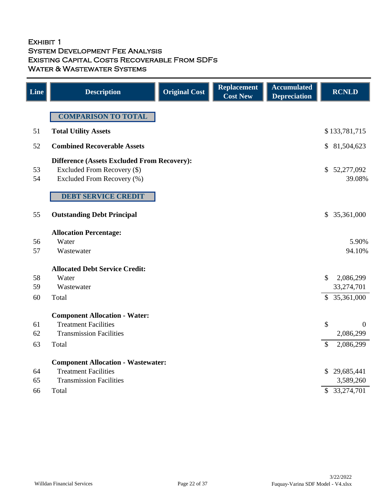#### Exhibit 1 System Development Fee Analysis Existing Capital Costs Recoverable From SDFs WATER & WASTEWATER SYSTEMS

| Line     | <b>Description</b>                                        | <b>Original Cost</b> | <b>Replacement</b><br><b>Cost New</b> | <b>Accumulated</b><br><b>Depreciation</b> |                | <b>RCNLD</b>         |
|----------|-----------------------------------------------------------|----------------------|---------------------------------------|-------------------------------------------|----------------|----------------------|
|          | <b>COMPARISON TO TOTAL</b>                                |                      |                                       |                                           |                |                      |
| 51       | <b>Total Utility Assets</b>                               |                      |                                       |                                           |                | \$133,781,715        |
| 52       | <b>Combined Recoverable Assets</b>                        |                      |                                       |                                           | $\mathbb{S}^-$ | 81,504,623           |
|          | <b>Difference (Assets Excluded From Recovery):</b>        |                      |                                       |                                           |                |                      |
| 53<br>54 | Excluded From Recovery (\$)<br>Excluded From Recovery (%) |                      |                                       |                                           | $\mathbb{S}^-$ | 52,277,092<br>39.08% |
|          | <b>DEBT SERVICE CREDIT</b>                                |                      |                                       |                                           |                |                      |
| 55       | <b>Outstanding Debt Principal</b>                         |                      |                                       |                                           | \$             | 35,361,000           |
|          | <b>Allocation Percentage:</b>                             |                      |                                       |                                           |                |                      |
| 56       | Water                                                     |                      |                                       |                                           |                | 5.90%                |
| 57       | Wastewater                                                |                      |                                       |                                           |                | 94.10%               |
|          | <b>Allocated Debt Service Credit:</b>                     |                      |                                       |                                           |                |                      |
| 58       | Water                                                     |                      |                                       |                                           | $\mathcal{S}$  | 2,086,299            |
| 59       | Wastewater                                                |                      |                                       |                                           |                | 33,274,701           |
| 60       | Total                                                     |                      |                                       |                                           |                | \$35,361,000         |
|          | <b>Component Allocation - Water:</b>                      |                      |                                       |                                           |                |                      |
| 61       | <b>Treatment Facilities</b>                               |                      |                                       |                                           | \$             | $\overline{0}$       |
| 62       | <b>Transmission Facilities</b>                            |                      |                                       |                                           |                | 2,086,299            |
| 63       | Total                                                     |                      |                                       |                                           | \$             | 2,086,299            |
|          | <b>Component Allocation - Wastewater:</b>                 |                      |                                       |                                           |                |                      |
| 64       | <b>Treatment Facilities</b>                               |                      |                                       |                                           |                | \$29,685,441         |
| 65       | <b>Transmission Facilities</b>                            |                      |                                       |                                           |                | 3,589,260            |
| 66       | Total                                                     |                      |                                       |                                           |                | \$ 33,274,701        |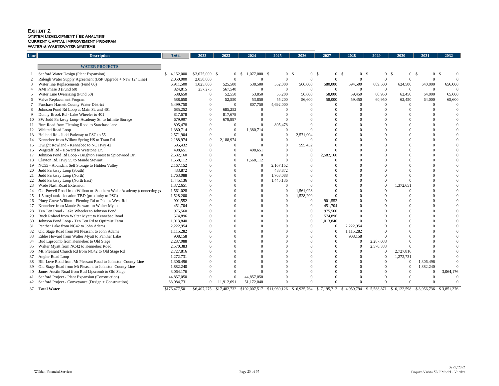## Exhibit 2 System Development Fee Analysis Current Capital Improvement Program Water & Wastewater Systems

| Line | <b>Description</b>                                                  | <b>Total</b>  | 2022            | 2023         | 2024                             | 2025                                                 | 2026           | 2027           | 2028                   | 2029                 | 2030                 | 2031                      | 2032      |
|------|---------------------------------------------------------------------|---------------|-----------------|--------------|----------------------------------|------------------------------------------------------|----------------|----------------|------------------------|----------------------|----------------------|---------------------------|-----------|
|      |                                                                     |               |                 |              |                                  |                                                      |                |                |                        |                      |                      |                           |           |
|      | <b>WATER PROJECTS</b>                                               |               |                 |              |                                  |                                                      |                |                |                        |                      |                      |                           |           |
|      | Sanford Water Design (Plant Expansion)                              | 4,152,000     | $$3,075,000$ \$ |              | $1,077,000$ \$<br>0 <sup>5</sup> | 0 <sup>5</sup>                                       | 0 <sup>5</sup> | $\overline{0}$ | $\overline{0}$<br>- \$ | \$<br>$\overline{0}$ | \$<br>0 <sup>5</sup> | 0 <sup>5</sup>            |           |
|      | Raleigh Water Supply Agreement (BSP Upgrade + New 12" Line)         | 2,050,000     | 2,050,000       |              |                                  |                                                      |                |                |                        |                      |                      |                           |           |
|      | Water line Replacements (Fund 60)                                   | 6,911,500     | 1,025,000       | 525,500      | 538,500                          | 552,000                                              | 566,000        | 580,000        | 594,500                | 609,500              | 624,500              | 640,000                   | 656,000   |
|      | AMI Phase 3 (Fund 60)                                               | 824,815       | 257,275         | 567,540      | $\overline{0}$                   |                                                      |                |                |                        |                      |                      |                           |           |
|      | Water Line Oversizing (Fund 60)                                     | 588,650       |                 | 52,550       | 53,850                           | 55,200                                               | 56,600         | 58,000         | 59,450                 | 60,950               | 62,450               | 64,000                    | 65,600    |
|      | Valve Replacement Program                                           | 588,650       |                 | 52,550       | 53,850                           | 55,200                                               | 56,600         | 58,000         | 59,450                 | 60,950               | 62,450               | 64,000                    | 65,600    |
|      | Purchase Harnett County Water District                              | 5,499,750     |                 |              | 807,750                          | 4,692,000                                            |                |                |                        |                      |                      |                           |           |
|      | Johnson Pond Rd Loop at Main St. and 401                            | 685,252       |                 | 685,252      |                                  |                                                      |                |                |                        |                      |                      |                           |           |
|      | Donny Brook Rd - Lake Wheeler to 401                                | 817,678       |                 | 817,678      |                                  |                                                      |                |                |                        |                      |                      |                           |           |
|      | SW Judd Parkway Loop- Academy St. to Infinite Storage               | 679,997       |                 | 679,997      |                                  |                                                      |                |                |                        |                      |                      |                           |           |
|      | Burt Road from Fleming Road to Starchase lane                       | 805,478       |                 |              | $\Omega$                         | 805,478                                              |                |                |                        |                      |                      |                           |           |
|      | Whitted Road Loop                                                   | 1,380,714     |                 |              | 1,380,714                        |                                                      |                |                |                        |                      |                      |                           |           |
|      | Holland Rd.- Judd Parkway to PSC to 55                              | 2,571,904     |                 |              |                                  |                                                      | 2,571,904      |                |                        |                      |                      |                           |           |
|      | Kennebec from Willow Spring HS to Tram Rd.                          | 2,188,974     |                 | 2,188,974    |                                  |                                                      |                |                |                        |                      |                      |                           |           |
|      | Dwight Rowland - Kennebec to NC Hwy 42                              | 595,432       |                 |              |                                  |                                                      | 595,432        |                |                        |                      |                      |                           |           |
| 16   | Wagstaff Rd - Howard to Wetstone Dr.                                | 498,651       |                 |              | 498,651                          |                                                      |                |                |                        |                      |                      |                           |           |
|      | Johnson Pond Rd Loop - Brighton Forest to Spicewood Dr.             | 2,582,160     |                 |              |                                  |                                                      |                | 2,582,160      |                        |                      |                      |                           |           |
|      | 18 Clayton Rd. Hwy 55 to Maude Stewart                              | 1,568,112     |                 |              | 1,568,112                        |                                                      |                |                |                        |                      |                      |                           |           |
|      | 19 NC55 - Abundant Self Storage to Hidden Valley                    | 2,167,152     |                 |              | $\overline{0}$                   | 2,167,152                                            |                |                |                        |                      |                      |                           |           |
|      | Judd Parkway Loop (South)                                           | 433,872       |                 |              |                                  | 433,872                                              |                |                |                        |                      |                      |                           |           |
|      | Judd Parkway Loop (North)                                           | 1,763,088     |                 |              |                                  | 1,763,088                                            |                |                |                        |                      |                      |                           |           |
|      | Judd Parkway Loop (North East)                                      | 1,445,136     |                 |              |                                  | 1,445,136                                            |                |                |                        |                      |                      |                           |           |
| 23   | <b>Wade Nash Road Extension</b>                                     | 1,372,651     |                 |              |                                  |                                                      |                |                |                        |                      | 1,372,651            |                           |           |
|      | Old Powell Road from Wilbon to Southern Wake Academy (connecting ga | 1,561,028     |                 |              |                                  |                                                      | 1,561,028      |                |                        |                      |                      |                           |           |
|      | 1.5 mgd tank - location TBD (proximity to PSC)                      | 1,528,200     |                 |              |                                  |                                                      | 1,528,200      |                |                        |                      |                      |                           |           |
|      | 26 Piney Grove Wilbon - Fleming Rd to Phelps West Rd                | 901,552       |                 |              |                                  |                                                      |                | 901,552        |                        |                      |                      |                           |           |
|      | Kennebec from Maude Stewart to Walter Myatt                         | 451,704       |                 |              |                                  |                                                      |                | 451,704        |                        |                      |                      |                           |           |
|      | Ten Ten Road - Lake Wheeler to Johnson Pond                         | 975,560       |                 |              |                                  |                                                      |                | 975,560        |                        |                      |                      |                           |           |
|      | Buck Roland from Walter Myatt to Kennebec Road                      | 574,896       |                 |              |                                  |                                                      |                | 574,896        |                        |                      |                      |                           |           |
|      | Johnson Pond Loop - Ten Ten Rd to Optimist Farm                     | 1,013,840     |                 |              |                                  |                                                      |                | 1,013,840      |                        |                      |                      |                           |           |
| 31   | Panther Lake from NC42 to John Adams                                | 2,222,954     |                 |              |                                  |                                                      |                |                | 2,222,954              |                      |                      |                           |           |
|      | Old Stage Road from Mt Pleasant to John Adams                       | 1,115,282     |                 |              |                                  |                                                      |                |                | 1,115,282              |                      |                      |                           |           |
| 33   | Eddie Howard from Walter Myatt to Panther Lake                      | 908,158       |                 |              |                                  |                                                      |                |                | 908,158                |                      |                      |                           |           |
| 34   | Bud Lipscomb from Kennebec to Old Stage                             | 2,287,088     |                 |              |                                  |                                                      |                |                |                        | 2,287,088            |                      |                           |           |
| 35   | Walter Myatt from NC42 to Kennebec Road                             | 2,570,383     |                 |              |                                  |                                                      |                |                |                        | 2,570,383            |                      |                           |           |
|      | . Pleasant Church Rd from NC42 to Old Stage Rd                      | 2,727,816     |                 |              |                                  |                                                      |                |                |                        |                      | 2,727,816            |                           |           |
| 37   | Angier Road Loop                                                    | 1,272,731     |                 |              |                                  |                                                      |                |                |                        |                      | 1,272,731            |                           |           |
|      | Bill Love Road from Mt Pleasant Road to Johnston County Line        | 1,306,496     |                 |              |                                  |                                                      |                |                |                        |                      |                      | 1,306,496                 |           |
|      | Old Stage Road from Mt Pleasant to Johnston County Line             | 1,882,240     |                 |              |                                  |                                                      |                |                |                        |                      |                      | 1,882,240                 |           |
|      | James Austin Road from Bud Lipscomb to Old Stage                    | 3,064,176     |                 |              |                                  |                                                      |                |                |                        |                      |                      |                           | 3,064,176 |
|      | Sanford Project - Plant Expansion (Construction)                    | 44,857,050    |                 |              | 44,857,050                       |                                                      |                |                |                        |                      |                      |                           |           |
|      | Sanford Project - Conveyance (Design + Construction)                | 63,084,731    | $\overline{0}$  | 11,912,691   | 51,172,040                       |                                                      |                |                |                        |                      |                      |                           |           |
|      | 37 Total Water                                                      | \$176,477,501 | \$6,407,275     | \$17,482,732 | \$102,007,517                    | $$11,969,126$ $$6,935,764$ $$7,195,712$ $$4,959,794$ |                |                |                        | \$5,588,871          | \$6,122,598          | $$3,956,736$ $$3,851,376$ |           |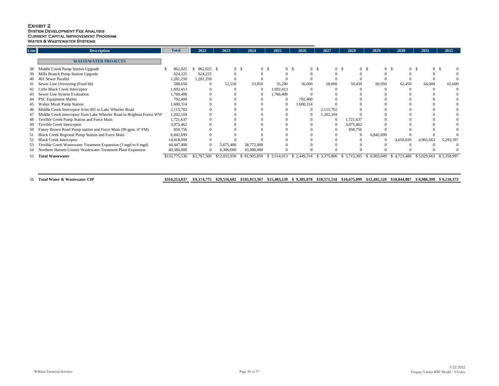## EXHIBIT 2 System Development Fee Analysis Current Capital Improvement Program WATER & WASTEWATER SYSTEMS

| $\ $ Line | <b>Description</b>                                                    | <b>Total</b>  | 2022        | 2023           | 2024           | 2025           | 2026                       | 2027                      | 2028        | 2029                             | 2030            | 2031           | 2032        |
|-----------|-----------------------------------------------------------------------|---------------|-------------|----------------|----------------|----------------|----------------------------|---------------------------|-------------|----------------------------------|-----------------|----------------|-------------|
|           | <b>WASTEWATER PROJECTS</b>                                            |               |             |                |                |                |                            |                           |             |                                  |                 |                |             |
| 38        | Middle Creek Pump Station Upgrade                                     | 862,025       | 862,025 \$  | 0 <sup>5</sup> | 0 <sup>5</sup> | 0 <sup>5</sup> | 0 <sup>5</sup>             | $0 \quad$                 |             | 0 <sup>5</sup><br>0 <sup>5</sup> | 0 <sup>5</sup>  | 0 <sup>1</sup> |             |
|           | 39 Mills Branch Pump Station Upgrade                                  | 624,225       | 624,225     |                |                |                |                            |                           |             |                                  |                 |                |             |
|           | Sewer Parallel<br>40 401                                              | 1,281,250     | 1,281,250   |                |                |                |                            |                           |             |                                  |                 |                |             |
|           | Sewer Line Oversizing (Fund 60)                                       | 588,650       | $\bf{0}$    | 52,550         | 53,850         | 55,200         | 56,600                     | 58,000                    | 59,450      | 60,950                           | 62,450          | 64,000         | 65,600      |
|           | 42 Little Black Creek Interceptor                                     | 1,692,413     |             |                | $\Omega$       | 1,692,413      |                            |                           |             |                                  |                 |                |             |
|           | Sewer Line System Evaluation                                          | 1,766,400     |             |                |                | 1,766,400      |                            |                           |             |                                  |                 |                |             |
|           | <b>PSC Equipment Shelter</b>                                          | 792,400       |             |                |                |                | 792,400                    |                           |             |                                  |                 |                |             |
| 45        | <b>Walter Myatt Pump Station</b>                                      | 1,600,314     |             |                |                |                | 1,600,314                  |                           |             |                                  |                 |                |             |
|           | 46 Middle Creek Interceptor from 401 to Lake Wheeler Road             | 2,115,702     |             |                |                |                | $\Omega$                   | 2,115,702                 |             |                                  |                 |                |             |
|           | Middle Creek interceptor from Lake Wheeler Road to Brighton Forest WW | 1,202,104     |             |                |                |                |                            | 1,202,104                 |             |                                  |                 |                |             |
| 48        | Terrible Creek Pump Station and Force Main                            | 1,721,637     |             |                |                |                |                            | - 0                       | 1,721,637   |                                  |                 |                |             |
| -49       | <b>Terrible Creek Interceptor</b>                                     | 3,075,462     |             |                |                |                |                            |                           | 3,075,462   |                                  |                 |                |             |
|           | 50 Fanny Brown Road Pump station and Force Main (90 gpm, 4" FM)       | 858,756       |             |                |                |                |                            |                           | 858,756     |                                  |                 |                |             |
|           | Black Creek Regional Pump Station and Force Main                      | 6,842,699     |             |                |                |                |                            |                           |             | 6,842,699                        |                 |                |             |
|           | 52 Black Creek Interceptor                                            | 14,918,099    |             |                |                |                |                            |                           |             |                                  | 4,659,039       | 4,965,663      | 5,293,397   |
| 53        | Terrible Creek Wastewater Treatment Expansion (3 mgd to 6 mgd)        | 44,447,400    |             | 5,675,400      | 38,772,000     |                |                            |                           |             |                                  |                 |                |             |
| 54        | Northern Harnett County Wastewater Treatment Plant Expansion          | 49,386,000    |             | 6,306,000      | 43,080,000     |                |                            |                           |             |                                  |                 |                |             |
|           |                                                                       |               |             |                |                |                |                            |                           |             |                                  |                 |                |             |
| $55-$     | <b>Total Wastewater</b>                                               | \$133,775,536 | \$2,767,500 | \$12,033,950   | \$81,905,850   | \$3,514,013    | 2,449,314<br>$\mathcal{S}$ | 3,375,806<br><sup>S</sup> | \$5,715,305 | 6,903,649<br>$\mathcal{S}$       | \$4,721<br>.489 | \$5,029,663    | \$5,358,997 |
|           |                                                                       |               |             |                |                |                |                            |                           |             |                                  |                 |                |             |

56 Total Water & Wastewater CIP 310,253,037 59,174,775 \$29,516,682 \$183,913,367 \$15,483,139 \$ 9,385,0

|  | 078 \$10,571,518 \$10,675,099 \$12,492,520 \$10,844,087 \$8,986,399 \$9,210,373 |  |  |
|--|---------------------------------------------------------------------------------|--|--|
|  |                                                                                 |  |  |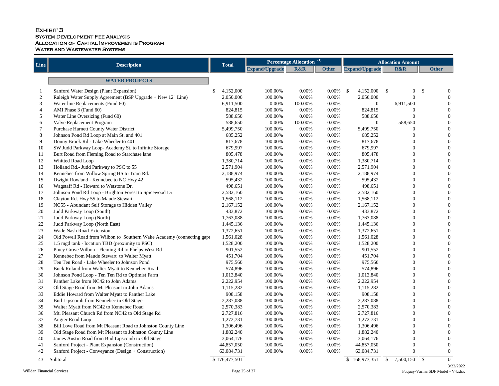## EXHIBIT 3 System Development Fee Analysis Allocation of Capital Improvements Program WATER AND WASTEWATER SYSTEMS

| Line           | <b>Description</b>                                                    | <b>Total</b>  | $\mathbf{u}$<br><b>Percentage Allocation</b> |                |              |                       | <b>Allocation Amount</b>                    |                           |  |  |
|----------------|-----------------------------------------------------------------------|---------------|----------------------------------------------|----------------|--------------|-----------------------|---------------------------------------------|---------------------------|--|--|
|                |                                                                       |               | Expand/Upgrade                               | <b>R&amp;R</b> | <b>Other</b> | <b>Expand/Upgrade</b> | <b>R&amp;R</b>                              | <b>Other</b>              |  |  |
|                | <b>WATER PROJECTS</b>                                                 |               |                                              |                |              |                       |                                             |                           |  |  |
|                | Sanford Water Design (Plant Expansion)                                | 4,152,000     | 100.00%                                      | 0.00%          | $0.00\%$ \$  | 4,152,000             | $\boldsymbol{\mathsf{S}}$<br>$\overline{0}$ | $\mathcal{S}$             |  |  |
| 2              | Raleigh Water Supply Agreement (BSP Upgrade + New 12" Line)           | 2,050,000     | 100.00%                                      | 0.00%          | 0.00%        | 2,050,000             |                                             |                           |  |  |
| 3              | Water line Replacements (Fund 60)                                     | 6,911,500     | 0.00%                                        | 100.00%        | 0.00%        | $\theta$              | 6,911,500                                   |                           |  |  |
| $\overline{4}$ | AMI Phase 3 (Fund 60)                                                 | 824,815       | 100.00%                                      | 0.00%          | 0.00%        | 824,815               |                                             |                           |  |  |
| 5              | Water Line Oversizing (Fund 60)                                       | 588,650       | 100.00%                                      | 0.00%          | 0.00%        | 588,650               |                                             |                           |  |  |
| 6              | Valve Replacement Program                                             | 588,650       | 0.00%                                        | 100.00%        | 0.00%        | $\Omega$              | 588,650                                     |                           |  |  |
|                | Purchase Harnett County Water District                                | 5,499,750     | 100.00%                                      | 0.00%          | 0.00%        | 5,499,750             |                                             |                           |  |  |
| 8              | Johnson Pond Rd Loop at Main St. and 401                              | 685,252       | 100.00%                                      | 0.00%          | 0.00%        | 685,252               |                                             |                           |  |  |
| 9              | Donny Brook Rd - Lake Wheeler to 401                                  | 817,678       | 100.00%                                      | 0.00%          | 0.00%        | 817,678               |                                             |                           |  |  |
| 10             | SW Judd Parkway Loop-Academy St. to Infinite Storage                  | 679,997       | 100.00%                                      | 0.00%          | 0.00%        | 679,997               |                                             |                           |  |  |
| 11             | Burt Road from Fleming Road to Starchase lane                         | 805,478       | 100.00%                                      | 0.00%          | 0.00%        | 805,478               | 0                                           |                           |  |  |
| 12             | Whitted Road Loop                                                     | 1,380,714     | 100.00%                                      | 0.00%          | 0.00%        | 1,380,714             |                                             |                           |  |  |
| 13             | Holland Rd.- Judd Parkway to PSC to 55                                | 2,571,904     | 100.00%                                      | 0.00%          | 0.00%        | 2,571,904             | 0                                           |                           |  |  |
| 14             | Kennebec from Willow Spring HS to Tram Rd.                            | 2,188,974     | 100.00%                                      | 0.00%          | 0.00%        | 2,188,974             |                                             |                           |  |  |
| 15             | Dwight Rowland - Kennebec to NC Hwy 42                                | 595,432       | 100.00%                                      | 0.00%          | 0.00%        | 595,432               | 0                                           |                           |  |  |
| 16             | Wagstaff Rd - Howard to Wetstone Dr.                                  | 498,651       | 100.00%                                      | 0.00%          | 0.00%        | 498,651               | $\Omega$                                    |                           |  |  |
| 17             | Johnson Pond Rd Loop - Brighton Forest to Spicewood Dr.               | 2,582,160     | 100.00%                                      | 0.00%          | 0.00%        | 2,582,160             | $\overline{0}$                              |                           |  |  |
| 18             | Clayton Rd. Hwy 55 to Maude Stewart                                   | 1,568,112     | 100.00%                                      | 0.00%          | 0.00%        | 1,568,112             |                                             |                           |  |  |
| 19             | NC55 - Abundant Self Storage to Hidden Valley                         | 2,167,152     | 100.00%                                      | 0.00%          | 0.00%        | 2,167,152             | $\Omega$                                    |                           |  |  |
| 20             | Judd Parkway Loop (South)                                             | 433,872       | 100.00%                                      | 0.00%          | 0.00%        | 433,872               | $\Omega$                                    |                           |  |  |
| 21             | Judd Parkway Loop (North)                                             | 1,763,088     | 100.00%                                      | 0.00%          | 0.00%        | 1,763,088             | $\Omega$                                    |                           |  |  |
| 22             | Judd Parkway Loop (North East)                                        | 1,445,136     | 100.00%                                      | 0.00%          | 0.00%        | 1,445,136             |                                             |                           |  |  |
| 23             | <b>Wade Nash Road Extension</b>                                       | 1,372,651     | 100.00%                                      | 0.00%          | 0.00%        | 1,372,651             | $\Omega$                                    |                           |  |  |
| 24             | Old Powell Road from Wilbon to Southern Wake Academy (connecting gaps | 1,561,028     | 100.00%                                      | 0.00%          | 0.00%        | 1,561,028             |                                             |                           |  |  |
| 25             | 1.5 mgd tank - location TBD (proximity to PSC)                        | 1,528,200     | 100.00%                                      | 0.00%          | 0.00%        | 1,528,200             |                                             |                           |  |  |
| 26             | Piney Grove Wilbon - Fleming Rd to Phelps West Rd                     | 901,552       | 100.00%                                      | 0.00%          | 0.00%        | 901,552               | 0                                           |                           |  |  |
| 27             | Kennebec from Maude Stewart to Walter Myatt                           | 451,704       | 100.00%                                      | 0.00%          | 0.00%        | 451,704               |                                             |                           |  |  |
| 28             | Ten Ten Road - Lake Wheeler to Johnson Pond                           | 975,560       | 100.00%                                      | 0.00%          | 0.00%        | 975,560               |                                             |                           |  |  |
| 29             | Buck Roland from Walter Myatt to Kennebec Road                        | 574,896       | 100.00%                                      | 0.00%          | 0.00%        | 574,896               |                                             |                           |  |  |
| 30             | Johnson Pond Loop - Ten Ten Rd to Optimist Farm                       | 1,013,840     | 100.00%                                      | 0.00%          | 0.00%        | 1,013,840             |                                             |                           |  |  |
| 31             | Panther Lake from NC42 to John Adams                                  | 2,222,954     | 100.00%                                      | 0.00%          | 0.00%        | 2,222,954             |                                             |                           |  |  |
| 32             | Old Stage Road from Mt Pleasant to John Adams                         | 1,115,282     | 100.00%                                      | 0.00%          | 0.00%        | 1,115,282             |                                             |                           |  |  |
| 33             | Eddie Howard from Walter Myatt to Panther Lake                        | 908,158       | 100.00%                                      | 0.00%          | 0.00%        | 908,158               |                                             |                           |  |  |
| 34             | Bud Lipscomb from Kennebec to Old Stage                               | 2,287,088     | 100.00%                                      | 0.00%          | 0.00%        | 2,287,088             |                                             |                           |  |  |
| 35             | Walter Myatt from NC42 to Kennebec Road                               | 2,570,383     | 100.00%                                      | 0.00%          | 0.00%        | 2,570,383             |                                             |                           |  |  |
| 36             | Mt. Pleasant Church Rd from NC42 to Old Stage Rd                      | 2,727,816     | 100.00%                                      | 0.00%          | 0.00%        | 2,727,816             |                                             |                           |  |  |
| 37             | Angier Road Loop                                                      | 1,272,731     | 100.00%                                      | 0.00%          | 0.00%        | 1,272,731             |                                             |                           |  |  |
| 38             | Bill Love Road from Mt Pleasant Road to Johnston County Line          | 1,306,496     | 100.00%                                      | 0.00%          | 0.00%        | 1,306,496             |                                             |                           |  |  |
| 39             | Old Stage Road from Mt Pleasant to Johnston County Line               | 1,882,240     | 100.00%                                      | 0.00%          | 0.00%        | 1,882,240             |                                             |                           |  |  |
| 40             | James Austin Road from Bud Lipscomb to Old Stage                      | 3,064,176     | 100.00%                                      | 0.00%          | 0.00%        | 3,064,176             |                                             |                           |  |  |
| 41             | Sanford Project - Plant Expansion (Construction)                      | 44,857,050    | 100.00%                                      | 0.00%          | 0.00%        | 44,857,050            | $\theta$                                    |                           |  |  |
| 42             | Sanford Project - Conveyance (Design + Construction)                  | 63,084,731    | 100.00%                                      | 0.00%          | 0.00%        | 63,084,731            |                                             |                           |  |  |
| 43             | Subtotal                                                              | \$176,477,501 |                                              |                |              | 168,977,351           | 7,500,150<br>$\mathcal{S}$                  | $\mathcal{S}$<br>$\theta$ |  |  |
|                |                                                                       |               |                                              |                |              |                       |                                             |                           |  |  |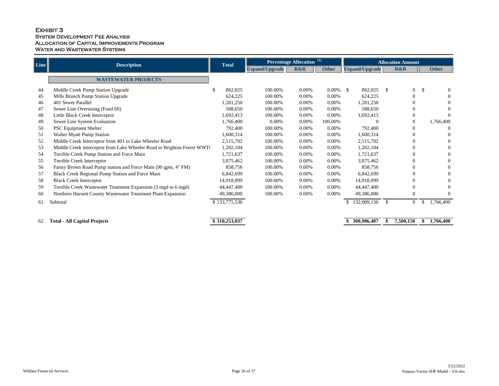## EXHIBIT 3 System Development Fee Analysis Allocation of Capital Improvements Program WATER AND WASTEWATER SYSTEMS

| $\ $ Line $\ $ | <b>Description</b>                                                      | <b>Total</b>  |                       | <b>Percentage Allocation</b> | $\left( \mathbf{1}\right)$ |                       | <b>Allocation Amount</b>                    |                            |  |  |
|----------------|-------------------------------------------------------------------------|---------------|-----------------------|------------------------------|----------------------------|-----------------------|---------------------------------------------|----------------------------|--|--|
|                |                                                                         |               | <b>Expand/Upgrade</b> | <b>R&amp;R</b>               | <b>Other</b>               | <b>Expand/Upgrade</b> | <b>R&amp;R</b>                              | <b>Other</b>               |  |  |
|                | <b>WASTEWATER PROJECTS</b>                                              |               |                       |                              |                            |                       |                                             |                            |  |  |
| 44             | Middle Creek Pump Station Upgrade                                       | 862,025       | 100.00%               | 0.00%                        | $0.00\%$ \$                | 862,025               | $\overline{0}$<br>$\boldsymbol{\mathsf{S}}$ | $\mathcal{S}$<br>$\Omega$  |  |  |
| 45             | Mills Branch Pump Station Upgrade                                       | 624,225       | 100.00%               | 0.00%                        | $0.00\%$                   | 624,225               | $\theta$                                    |                            |  |  |
| 46             | 401 Sewer Parallel                                                      | 1,281,250     | 100.00%               | 0.00%                        | 0.00%                      | 1,281,250             |                                             |                            |  |  |
| 47             | Sewer Line Oversizing (Fund 60)                                         | 588,650       | 100.00%               | 0.00%                        | 0.00%                      | 588,650               |                                             | $\Omega$                   |  |  |
| 48             | Little Black Creek Interceptor                                          | 1,692,413     | 100.00%               | 0.00%                        | 0.00%                      | 1,692,413             | $\Omega$                                    | $\Omega$                   |  |  |
| 49             | Sewer Line System Evaluation                                            | 1,766,400     | 0.00%                 | $0.00\%$                     | 100.00%                    |                       | $\Omega$                                    | 1,766,400                  |  |  |
| 50             | <b>PSC Equipment Shelter</b>                                            | 792,400       | 100.00%               | $0.00\%$                     | 0.00%                      | 792,400               |                                             | $\overline{0}$             |  |  |
| 51             | <b>Walter Myatt Pump Station</b>                                        | 1,600,314     | 100.00%               | $0.00\%$                     | 0.00%                      | 1,600,314             | $\Omega$                                    |                            |  |  |
| 52             | Middle Creek Interceptor from 401 to Lake Wheeler Road                  | 2,115,702     | 100.00%               | $0.00\%$                     | 0.00%                      | 2,115,702             |                                             |                            |  |  |
| 53             | Middle Creek interceptor from Lake Wheeler Road to Brighton Forest WWTI | 1,202,104     | 100.00%               | $0.00\%$                     | 0.00%                      | 1,202,104             |                                             |                            |  |  |
| 54             | Terrible Creek Pump Station and Force Main                              | 1,721,637     | 100.00%               | $0.00\%$                     | 0.00%                      | 1,721,637             |                                             | $\Omega$                   |  |  |
| 55             | Terrible Creek Interceptor                                              | 3,075,462     | 100.00%               | $0.00\%$                     | 0.00%                      | 3,075,462             |                                             |                            |  |  |
| 56             | Fanny Brown Road Pump station and Force Main (90 gpm, 4" FM)            | 858,756       | 100.00%               | $0.00\%$                     | 0.00%                      | 858,756               |                                             |                            |  |  |
| 57             | Black Creek Regional Pump Station and Force Main                        | 6,842,699     | 100.00%               | $0.00\%$                     | $0.00\%$                   | 6,842,699             |                                             | $\Omega$                   |  |  |
| 58             | <b>Black Creek Interceptor</b>                                          | 14,918,099    | 100.00%               | $0.00\%$                     | 0.00%                      | 14,918,099            |                                             |                            |  |  |
| 59             | Terrible Creek Wastewater Treatment Expansion (3 mgd to 6 mgd)          | 44,447,400    | 100.00%               | 0.00%                        | $0.00\%$                   | 44,447,400            |                                             |                            |  |  |
| 60             | Northern Harnett County Wastewater Treatment Plant Expansion            | 49,386,000    | 100.00%               | $0.00\%$                     | 0.00%                      | 49,386,000            | $\theta$                                    | $\Omega$                   |  |  |
| 61             | Subtotal                                                                | \$133,775,536 |                       |                              |                            | 132,009,136           | $\mathcal{S}$<br>$\mathbf{0}$               | 1,766,400<br>$\mathcal{S}$ |  |  |
| 62             | <b>Total - All Capital Projects</b>                                     | \$310,253,037 |                       |                              |                            | 300,986,487           | 7,500,150                                   | 1,766,400<br>\$            |  |  |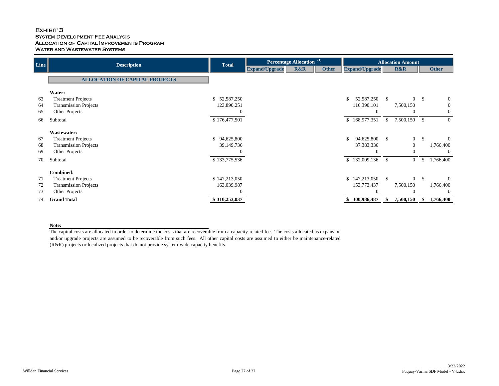## EXHIBIT 3 System Development Fee Analysis Allocation of Capital Improvements Program WATER AND WASTEWATER SYSTEMS

| $\vert$ Line $\vert$ | <b>Description</b>                    | <b>Total</b>  |                | $\left( \mathbf{1}\right)$<br><b>Percentage Allocation</b> |              |              | <b>Allocation Amount</b> |               |                |               |                  |  |
|----------------------|---------------------------------------|---------------|----------------|------------------------------------------------------------|--------------|--------------|--------------------------|---------------|----------------|---------------|------------------|--|
|                      |                                       |               | Expand/Upgrade | R&R                                                        | <b>Other</b> |              | <b>Expand/Upgrade</b>    |               | <b>R&amp;R</b> |               | <b>Other</b>     |  |
|                      | <b>ALLOCATION OF CAPITAL PROJECTS</b> |               |                |                                                            |              |              |                          |               |                |               |                  |  |
|                      | Water:                                |               |                |                                                            |              |              |                          |               |                |               |                  |  |
| 63                   | <b>Treatment Projects</b>             | \$52,587,250  |                |                                                            |              |              | 52,587,250 \$            |               | $\Omega$       | $\mathcal{S}$ | $\overline{0}$   |  |
| 64                   | <b>Transmission Projects</b>          | 123,890,251   |                |                                                            |              |              | 116,390,101              |               | 7,500,150      |               | $\boldsymbol{0}$ |  |
| 65                   | Other Projects                        |               |                |                                                            |              |              | $\overline{0}$           |               | $\overline{0}$ |               | $\overline{0}$   |  |
| 66                   | Subtotal                              | \$176,477,501 |                |                                                            |              |              | \$168,977,351            | $\mathbb{S}$  | 7,500,150      | $\mathcal{S}$ | $\overline{0}$   |  |
|                      | <b>Wastewater:</b>                    |               |                |                                                            |              |              |                          |               |                |               |                  |  |
| 67                   | <b>Treatment Projects</b>             | \$94,625,800  |                |                                                            |              | $\mathbb{S}$ | 94,625,800               | $\mathbb{S}$  | $\overline{0}$ | $\mathbb{S}$  | $\overline{0}$   |  |
| 68                   | <b>Transmission Projects</b>          | 39,149,736    |                |                                                            |              |              | 37, 383, 336             |               | $\overline{0}$ |               | 1,766,400        |  |
| 69                   | Other Projects                        |               |                |                                                            |              |              | $\overline{0}$           |               | $\theta$       |               | $\mathbf{0}$     |  |
| 70                   | Subtotal                              | \$133,775,536 |                |                                                            |              |              | \$132,009,136            | $\mathcal{S}$ | $\overline{0}$ | \$            | 1,766,400        |  |
|                      | <b>Combined:</b>                      |               |                |                                                            |              |              |                          |               |                |               |                  |  |
| 71                   | <b>Treatment Projects</b>             | \$147,213,050 |                |                                                            |              |              | $$147,213,050$ \\$       |               | $\overline{0}$ | -SS           | $\overline{0}$   |  |
| 72                   | <b>Transmission Projects</b>          | 163,039,987   |                |                                                            |              |              | 153,773,437              |               | 7,500,150      |               | 1,766,400        |  |
| 73                   | Other Projects                        |               |                |                                                            |              |              | $\Omega$                 |               | $\Omega$       |               | $\overline{0}$   |  |
| 74                   | <b>Grand Total</b>                    | \$310,253,037 |                |                                                            |              |              | 300,986,487              |               | 7,500,150      |               | 1,766,400        |  |

#### **Note:**

The capital costs are allocated in order to determine the costs that are recoverable from a capacity-related fee. The costs allocated as expansion and/or upgrade projects are assumed to be recoverable from such fees. All other capital costs are assumed to either be maintenance-related (R&R) projects or localized projects that do not provide system-wide capacity benefits.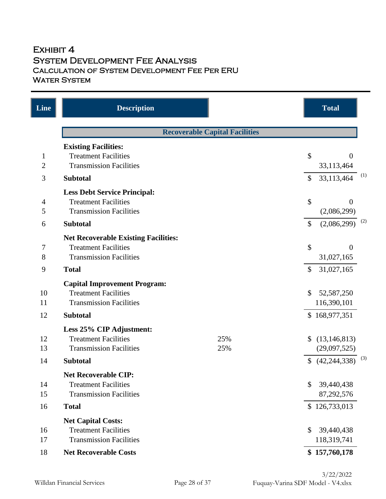## EXHIBIT 4 System Development Fee Analysis Calculation of System Development Fee Per ERU **WATER SYSTEM**

| Line                           | <b>Description</b>                                                                                           |                                       |               | <b>Total</b>                   |     |
|--------------------------------|--------------------------------------------------------------------------------------------------------------|---------------------------------------|---------------|--------------------------------|-----|
|                                |                                                                                                              | <b>Recoverable Capital Facilities</b> |               |                                |     |
|                                | <b>Existing Facilities:</b>                                                                                  |                                       |               |                                |     |
| $\mathbf{1}$<br>$\overline{2}$ | <b>Treatment Facilities</b><br><b>Transmission Facilities</b>                                                |                                       | \$            | $\overline{0}$<br>33,113,464   |     |
| $\mathfrak{Z}$                 | <b>Subtotal</b>                                                                                              |                                       | $\mathcal{S}$ | 33,113,464                     | (1) |
| $\overline{\mathcal{A}}$<br>5  | <b>Less Debt Service Principal:</b><br><b>Treatment Facilities</b><br><b>Transmission Facilities</b>         |                                       | \$            | $\theta$<br>(2,086,299)        |     |
| 6                              | <b>Subtotal</b>                                                                                              |                                       | $\mathbb{S}$  | (2,086,299)                    | (2) |
| 7<br>$8\,$                     | <b>Net Recoverable Existing Facilities:</b><br><b>Treatment Facilities</b><br><b>Transmission Facilities</b> |                                       | \$            | $\Omega$<br>31,027,165         |     |
| 9                              | <b>Total</b>                                                                                                 |                                       | \$            | 31,027,165                     |     |
| 10<br>11                       | <b>Capital Improvement Program:</b><br><b>Treatment Facilities</b><br><b>Transmission Facilities</b>         |                                       | \$            | 52,587,250<br>116,390,101      |     |
| 12                             | <b>Subtotal</b>                                                                                              |                                       |               | \$168,977,351                  |     |
| 12<br>13                       | Less 25% CIP Adjustment:<br><b>Treatment Facilities</b><br><b>Transmission Facilities</b>                    | 25%<br>25%                            |               | (13, 146, 813)<br>(29,097,525) |     |
| 14                             | <b>Subtotal</b>                                                                                              |                                       | $\mathcal{S}$ | (42, 244, 338)                 | (3) |
| 14<br>15                       | <b>Net Recoverable CIP:</b><br><b>Treatment Facilities</b><br><b>Transmission Facilities</b>                 |                                       | \$            | 39,440,438<br>87,292,576       |     |
| 16                             | <b>Total</b>                                                                                                 |                                       |               | \$126,733,013                  |     |
| 16<br>17                       | <b>Net Capital Costs:</b><br><b>Treatment Facilities</b><br><b>Transmission Facilities</b>                   |                                       | \$            | 39,440,438<br>118,319,741      |     |
| 18                             | <b>Net Recoverable Costs</b>                                                                                 |                                       |               | \$157,760,178                  |     |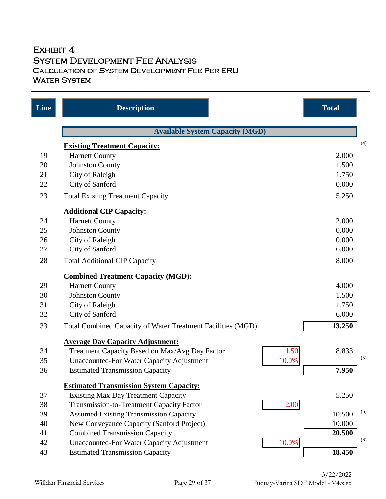## EXHIBIT 4 System Development Fee Analysis Calculation of System Development Fee Per ERU **WATER SYSTEM**

| Line | <b>Description</b>                                          | <b>Total</b>  |
|------|-------------------------------------------------------------|---------------|
|      | <b>Available System Capacity (MGD)</b>                      |               |
|      | <b>Existing Treatment Capacity:</b>                         | (4)           |
| 19   | <b>Harnett County</b>                                       | 2.000         |
| 20   | <b>Johnston County</b>                                      | 1.500         |
| 21   | City of Raleigh                                             | 1.750         |
| 22   | City of Sanford                                             | 0.000         |
| 23   | <b>Total Existing Treatment Capacity</b>                    | 5.250         |
|      | <b>Additional CIP Capacity:</b>                             |               |
| 24   | <b>Harnett County</b>                                       | 2.000         |
| 25   | <b>Johnston County</b>                                      | 0.000         |
| 26   | <b>City of Raleigh</b>                                      | 0.000         |
| 27   | City of Sanford                                             | 6.000         |
| 28   | <b>Total Additional CIP Capacity</b>                        | 8.000         |
|      | <b>Combined Treatment Capacity (MGD):</b>                   |               |
| 29   | <b>Harnett County</b>                                       | 4.000         |
| 30   | <b>Johnston County</b>                                      | 1.500         |
| 31   | <b>City of Raleigh</b>                                      | 1.750         |
| 32   | City of Sanford                                             | 6.000         |
| 33   | Total Combined Capacity of Water Treatment Facilities (MGD) | 13.250        |
|      | <b>Average Day Capacity Adjustment:</b>                     |               |
| 34   | 1.50<br>Treatment Capacity Based on Max/Avg Day Factor      | 8.833         |
| 35   | 10.0%<br><b>Unaccounted-For Water Capacity Adjustment</b>   | (5)           |
| 36   | <b>Estimated Transmission Capacity</b>                      | 7.950         |
|      | <b>Estimated Transmission System Capacity:</b>              |               |
| 37   | <b>Existing Max Day Treatment Capacity</b>                  | 5.250         |
| 38   | <b>Transmission-to-Treatment Capacity Factor</b><br>2.00    |               |
| 39   | <b>Assumed Existing Transmission Capacity</b>               | (6)<br>10.500 |
| 40   | New Conveyance Capacity (Sanford Project)                   | 10.000        |
| 41   | <b>Combined Transmission Capacity</b>                       | 20.500        |
| 42   | <b>Unaccounted-For Water Capacity Adjustment</b><br>10.0%   | (6)           |
| 43   | <b>Estimated Transmission Capacity</b>                      | 18.450        |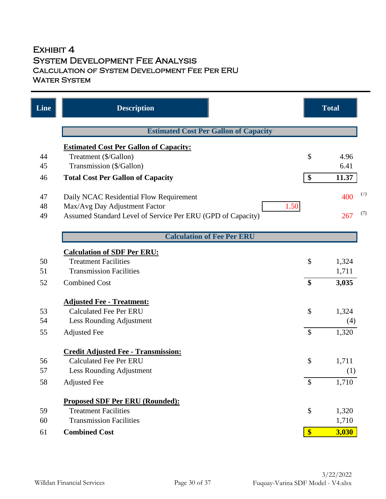## EXHIBIT 4 System Development Fee Analysis Calculation of System Development Fee Per ERU **WATER SYSTEM**

| Line | <b>Description</b>                                          |                   | <b>Total</b> |     |
|------|-------------------------------------------------------------|-------------------|--------------|-----|
|      | <b>Estimated Cost Per Gallon of Capacity</b>                |                   |              |     |
|      | <b>Estimated Cost Per Gallon of Capacity:</b>               |                   |              |     |
| 44   | Treatment (\$/Gallon)                                       | \$                | 4.96         |     |
| 45   | Transmission (\$/Gallon)                                    |                   | 6.41         |     |
| 46   | <b>Total Cost Per Gallon of Capacity</b>                    | \$                | 11.37        |     |
| 47   | Daily NCAC Residential Flow Requirement                     |                   | 400          | (7) |
| 48   | 1.50<br>Max/Avg Day Adjustment Factor                       |                   |              |     |
| 49   | Assumed Standard Level of Service Per ERU (GPD of Capacity) |                   | 267          | (7) |
|      | <b>Calculation of Fee Per ERU</b>                           |                   |              |     |
|      | <b>Calculation of SDF Per ERU:</b>                          |                   |              |     |
| 50   | <b>Treatment Facilities</b>                                 | \$                | 1,324        |     |
| 51   | <b>Transmission Facilities</b>                              |                   | 1,711        |     |
| 52   | <b>Combined Cost</b>                                        | \$                | 3,035        |     |
|      | <b>Adjusted Fee - Treatment:</b>                            |                   |              |     |
| 53   | <b>Calculated Fee Per ERU</b>                               | \$                | 1,324        |     |
| 54   | Less Rounding Adjustment                                    |                   | (4)          |     |
| 55   | <b>Adjusted Fee</b>                                         | $\mathcal{S}$     | 1,320        |     |
|      | <b>Credit Adjusted Fee - Transmission:</b>                  |                   |              |     |
| 56   | <b>Calculated Fee Per ERU</b>                               | \$                | 1,711        |     |
| 57   | Less Rounding Adjustment                                    |                   | (1)          |     |
| 58   | <b>Adjusted Fee</b>                                         | $\mathcal{S}$     | 1,710        |     |
|      | <b>Proposed SDF Per ERU (Rounded):</b>                      |                   |              |     |
| 59   | <b>Treatment Facilities</b>                                 | \$                | 1,320        |     |
| 60   | <b>Transmission Facilities</b>                              |                   | 1,710        |     |
| 61   | <b>Combined Cost</b>                                        | $\boldsymbol{\$}$ | 3,030        |     |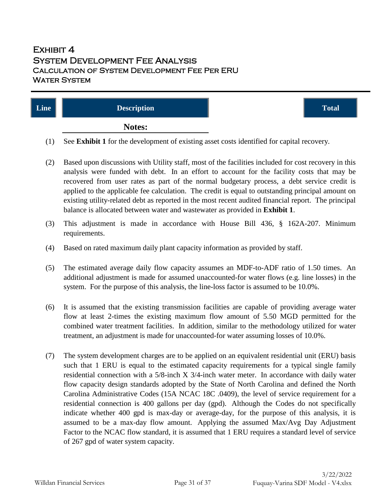## $E$ XHIBIT  $4$ System Development Fee Analysis Calculation of System Development Fee Per ERU Water System

| Line | <b>Description</b> | <b>Total</b> |
|------|--------------------|--------------|
|      | Notes:             |              |

- (1) See **Exhibit 1** for the development of existing asset costs identified for capital recovery.
- (2) Based upon discussions with Utility staff, most of the facilities included for cost recovery in this analysis were funded with debt. In an effort to account for the facility costs that may be recovered from user rates as part of the normal budgetary process, a debt service credit is applied to the applicable fee calculation. The credit is equal to outstanding principal amount on existing utility-related debt as reported in the most recent audited financial report. The principal balance is allocated between water and wastewater as provided in **Exhibit 1**.
- (3) This adjustment is made in accordance with House Bill 436, § 162A-207. Minimum requirements.
- (4) Based on rated maximum daily plant capacity information as provided by staff.
- (5) The estimated average daily flow capacity assumes an MDF-to-ADF ratio of 1.50 times. An additional adjustment is made for assumed unaccounted-for water flows (e.g. line losses) in the system. For the purpose of this analysis, the line-loss factor is assumed to be 10.0%.
- (6) It is assumed that the existing transmission facilities are capable of providing average water flow at least 2-times the existing maximum flow amount of 5.50 MGD permitted for the combined water treatment facilities. In addition, similar to the methodology utilized for water treatment, an adjustment is made for unaccounted-for water assuming losses of 10.0%.
- (7) The system development charges are to be applied on an equivalent residential unit (ERU) basis such that 1 ERU is equal to the estimated capacity requirements for a typical single family residential connection with a 5/8-inch X 3/4-inch water meter. In accordance with daily water flow capacity design standards adopted by the State of North Carolina and defined the North Carolina Administrative Codes (15A NCAC 18C .0409), the level of service requirement for a residential connection is 400 gallons per day (gpd). Although the Codes do not specifically indicate whether 400 gpd is max-day or average-day, for the purpose of this analysis, it is assumed to be a max-day flow amount. Applying the assumed Max/Avg Day Adjustment Factor to the NCAC flow standard, it is assumed that 1 ERU requires a standard level of service of 267 gpd of water system capacity.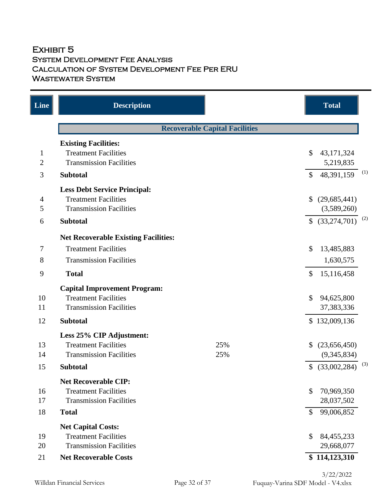## EXHIBIT 5 System Development Fee Analysis Calculation of System Development Fee Per ERU WASTEWATER SYSTEM

| Line           | <b>Description</b>                          |                                       |                    | <b>Total</b>    |     |
|----------------|---------------------------------------------|---------------------------------------|--------------------|-----------------|-----|
|                |                                             | <b>Recoverable Capital Facilities</b> |                    |                 |     |
|                | <b>Existing Facilities:</b>                 |                                       |                    |                 |     |
| $\mathbf{1}$   | <b>Treatment Facilities</b>                 |                                       | \$                 | 43,171,324      |     |
| $\overline{2}$ | <b>Transmission Facilities</b>              |                                       |                    | 5,219,835       |     |
| 3              | <b>Subtotal</b>                             |                                       | $\mathbf{\hat{S}}$ | 48,391,159      | (1) |
|                | <b>Less Debt Service Principal:</b>         |                                       |                    |                 |     |
| $\overline{4}$ | <b>Treatment Facilities</b>                 |                                       | \$                 | (29, 685, 441)  |     |
| 5              | <b>Transmission Facilities</b>              |                                       |                    | (3,589,260)     |     |
| 6              | <b>Subtotal</b>                             |                                       |                    | \$ (33,274,701) | (2) |
|                | <b>Net Recoverable Existing Facilities:</b> |                                       |                    |                 |     |
| 7              | <b>Treatment Facilities</b>                 |                                       | \$                 | 13,485,883      |     |
| 8              | <b>Transmission Facilities</b>              |                                       |                    | 1,630,575       |     |
| 9              | <b>Total</b>                                |                                       | \$                 | 15,116,458      |     |
|                | <b>Capital Improvement Program:</b>         |                                       |                    |                 |     |
| 10             | <b>Treatment Facilities</b>                 |                                       | $\mathcal{S}$      | 94,625,800      |     |
| 11             | <b>Transmission Facilities</b>              |                                       |                    | 37,383,336      |     |
| 12             | <b>Subtotal</b>                             |                                       |                    | \$132,009,136   |     |
|                | Less 25% CIP Adjustment:                    |                                       |                    |                 |     |
| 13             | <b>Treatment Facilities</b>                 | 25%                                   |                    | (23,656,450)    |     |
| 14             | <b>Transmission Facilities</b>              | 25%                                   |                    | (9,345,834)     |     |
| 15             | <b>Subtotal</b>                             |                                       | $\mathcal{S}$      | (33,002,284)    | (3) |
|                | <b>Net Recoverable CIP:</b>                 |                                       |                    |                 |     |
| 16             | <b>Treatment Facilities</b>                 |                                       | \$                 | 70,969,350      |     |
| 17             | <b>Transmission Facilities</b>              |                                       |                    | 28,037,502      |     |
| 18             | <b>Total</b>                                |                                       | $\mathcal{S}$      | 99,006,852      |     |
|                | <b>Net Capital Costs:</b>                   |                                       |                    |                 |     |
| 19             | <b>Treatment Facilities</b>                 |                                       | \$                 | 84,455,233      |     |
| 20             | <b>Transmission Facilities</b>              |                                       |                    | 29,668,077      |     |
| 21             | <b>Net Recoverable Costs</b>                |                                       |                    | \$114,123,310   |     |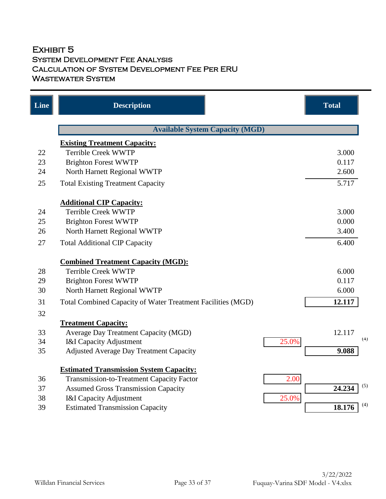## EXHIBIT 5 System Development Fee Analysis Calculation of System Development Fee Per ERU WASTEWATER SYSTEM

| Line | <b>Description</b>                                          | <b>Total</b>  |
|------|-------------------------------------------------------------|---------------|
|      | <b>Available System Capacity (MGD)</b>                      |               |
|      | <b>Existing Treatment Capacity:</b>                         |               |
| 22   | <b>Terrible Creek WWTP</b>                                  | 3.000         |
| 23   | <b>Brighton Forest WWTP</b>                                 | 0.117         |
| 24   | North Harnett Regional WWTP                                 | 2.600         |
| 25   | <b>Total Existing Treatment Capacity</b>                    | 5.717         |
|      | <b>Additional CIP Capacity:</b>                             |               |
| 24   | <b>Terrible Creek WWTP</b>                                  | 3.000         |
| 25   | <b>Brighton Forest WWTP</b>                                 | 0.000         |
| 26   | North Harnett Regional WWTP                                 | 3.400         |
| 27   | <b>Total Additional CIP Capacity</b>                        | 6.400         |
|      | <b>Combined Treatment Capacity (MGD):</b>                   |               |
| 28   | <b>Terrible Creek WWTP</b>                                  | 6.000         |
| 29   | <b>Brighton Forest WWTP</b>                                 | 0.117         |
| 30   | North Harnett Regional WWTP                                 | 6.000         |
| 31   | Total Combined Capacity of Water Treatment Facilities (MGD) | 12.117        |
| 32   |                                                             |               |
|      | <b>Treatment Capacity:</b>                                  |               |
| 33   | <b>Average Day Treatment Capacity (MGD)</b>                 | 12.117        |
| 34   | 25.0%<br><b>I&amp;I Capacity Adjustment</b>                 | (4)           |
| 35   | Adjusted Average Day Treatment Capacity                     | 9.088         |
|      | <b>Estimated Transmission System Capacity:</b>              |               |
| 36   | 2.00<br>Transmission-to-Treatment Capacity Factor           |               |
| 37   | <b>Assumed Gross Transmission Capacity</b>                  | (5)<br>24.234 |
| 38   | 25.0%<br><b>I&amp;I Capacity Adjustment</b>                 |               |
| 39   | <b>Estimated Transmission Capacity</b>                      | (4)<br>18.176 |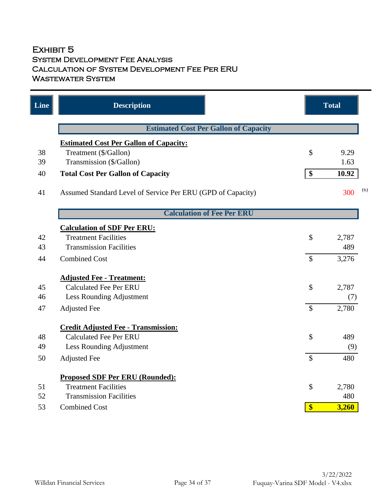## EXHIBIT 5 System Development Fee Analysis Calculation of System Development Fee Per ERU WASTEWATER SYSTEM

| Line | <b>Description</b>                                          |                           | <b>Total</b> |     |
|------|-------------------------------------------------------------|---------------------------|--------------|-----|
|      | <b>Estimated Cost Per Gallon of Capacity</b>                |                           |              |     |
|      | <b>Estimated Cost Per Gallon of Capacity:</b>               |                           |              |     |
| 38   | Treatment (\$/Gallon)                                       | \$                        | 9.29         |     |
| 39   | Transmission (\$/Gallon)                                    |                           | 1.63         |     |
| 40   | <b>Total Cost Per Gallon of Capacity</b>                    | \$                        | 10.92        |     |
| 41   | Assumed Standard Level of Service Per ERU (GPD of Capacity) |                           | 300          | (6) |
|      | <b>Calculation of Fee Per ERU</b>                           |                           |              |     |
|      | <b>Calculation of SDF Per ERU:</b>                          |                           |              |     |
| 42   | <b>Treatment Facilities</b>                                 | \$                        | 2,787        |     |
| 43   | <b>Transmission Facilities</b>                              |                           | 489          |     |
| 44   | <b>Combined Cost</b>                                        | $\mathcal{S}$             | 3,276        |     |
|      | <b>Adjusted Fee - Treatment:</b>                            |                           |              |     |
| 45   | <b>Calculated Fee Per ERU</b>                               | $\mathcal{S}$             | 2,787        |     |
| 46   | Less Rounding Adjustment                                    |                           | (7)          |     |
| 47   | <b>Adjusted Fee</b>                                         | $\boldsymbol{\mathsf{S}}$ | 2,780        |     |
|      | <b>Credit Adjusted Fee - Transmission:</b>                  |                           |              |     |
| 48   | <b>Calculated Fee Per ERU</b>                               | \$                        | 489          |     |
| 49   | Less Rounding Adjustment                                    |                           | (9)          |     |
| 50   | <b>Adjusted Fee</b>                                         | $\mathcal{S}$             | 480          |     |
|      | <b>Proposed SDF Per ERU (Rounded):</b>                      |                           |              |     |
| 51   | <b>Treatment Facilities</b>                                 | \$                        | 2,780        |     |
| 52   | <b>Transmission Facilities</b>                              |                           | 480          |     |
| 53   | <b>Combined Cost</b>                                        | $\boldsymbol{\$}$         | 3,260        |     |
|      |                                                             |                           |              |     |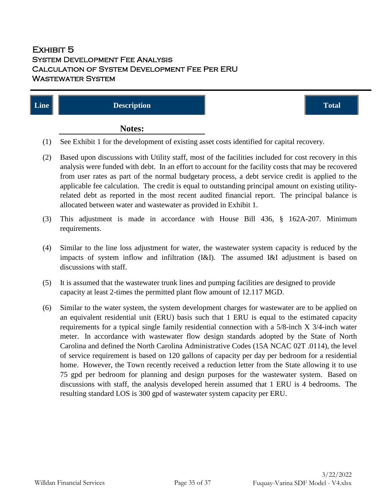## EXHIBIT 5 System Development Fee Analysis Calculation of System Development Fee Per ERU Wastewater System

| $\vert$ Line $\vert$ | <b>Description</b> | <b>Total</b> |
|----------------------|--------------------|--------------|
|                      | Notes:             |              |

- (1) See Exhibit 1 for the development of existing asset costs identified for capital recovery.
- (2) Based upon discussions with Utility staff, most of the facilities included for cost recovery in this analysis were funded with debt. In an effort to account for the facility costs that may be recovered from user rates as part of the normal budgetary process, a debt service credit is applied to the applicable fee calculation. The credit is equal to outstanding principal amount on existing utilityrelated debt as reported in the most recent audited financial report. The principal balance is allocated between water and wastewater as provided in Exhibit 1.
- (3) This adjustment is made in accordance with House Bill 436, § 162A-207. Minimum requirements.
- (4) Similar to the line loss adjustment for water, the wastewater system capacity is reduced by the impacts of system inflow and infiltration (I&I). The assumed I&I adjustment is based on discussions with staff.
- (5) It is assumed that the wastewater trunk lines and pumping facilities are designed to provide capacity at least 2-times the permitted plant flow amount of 12.117 MGD.
- (6) Similar to the water system, the system development charges for wastewater are to be applied on an equivalent residential unit (ERU) basis such that 1 ERU is equal to the estimated capacity requirements for a typical single family residential connection with a 5/8-inch X 3/4-inch water meter. In accordance with wastewater flow design standards adopted by the State of North Carolina and defined the North Carolina Administrative Codes (15A NCAC 02T .0114), the level of service requirement is based on 120 gallons of capacity per day per bedroom for a residential home. However, the Town recently received a reduction letter from the State allowing it to use 75 gpd per bedroom for planning and design purposes for the wastewater system. Based on discussions with staff, the analysis developed herein assumed that 1 ERU is 4 bedrooms. The resulting standard LOS is 300 gpd of wastewater system capacity per ERU.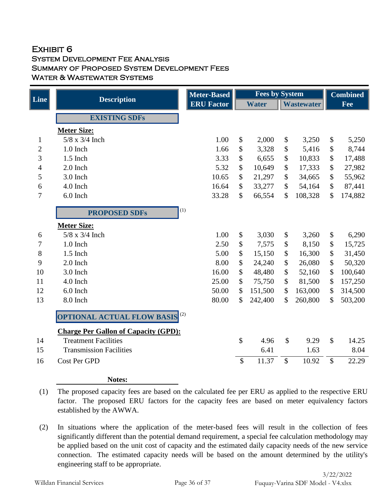## EXHIBIT<sub>6</sub> System Development Fee Analysis Summary of Proposed System Development Fees WATER & WASTEWATER SYSTEMS

|                |                                             | <b>Meter-Based</b> | <b>Fees by System</b>     |              |                           |                   |                            | <b>Combined</b> |  |
|----------------|---------------------------------------------|--------------------|---------------------------|--------------|---------------------------|-------------------|----------------------------|-----------------|--|
| <b>Line</b>    | <b>Description</b>                          | <b>ERU Factor</b>  |                           | <b>Water</b> |                           | <b>Wastewater</b> |                            | Fee             |  |
|                | <b>EXISTING SDFs</b>                        |                    |                           |              |                           |                   |                            |                 |  |
|                | <b>Meter Size:</b>                          |                    |                           |              |                           |                   |                            |                 |  |
| $\mathbf{1}$   | $5/8$ x $3/4$ Inch                          | 1.00               | \$                        | 2,000        | \$                        | 3,250             | \$                         | 5,250           |  |
| $\mathbf{2}$   | 1.0 Inch                                    | 1.66               | \$                        | 3,328        | \$                        | 5,416             | $\boldsymbol{\mathsf{\$}}$ | 8,744           |  |
| 3              | $1.5$ Inch                                  | 3.33               | \$                        | 6,655        | \$                        | 10,833            | $\boldsymbol{\mathsf{\$}}$ | 17,488          |  |
| $\overline{4}$ | 2.0 Inch                                    | 5.32               | \$                        | 10,649       | \$                        | 17,333            | \$                         | 27,982          |  |
| 5              | 3.0 Inch                                    | 10.65              | \$                        | 21,297       | $\$$                      | 34,665            | \$                         | 55,962          |  |
| 6              | 4.0 Inch                                    | 16.64              | $\mathcal{S}$             | 33,277       | $\boldsymbol{\mathsf{S}}$ | 54,164            | $\mathcal{S}$              | 87,441          |  |
| 7              | 6.0 Inch                                    | 33.28              | $\boldsymbol{\mathsf{S}}$ | 66,554       | \$                        | 108,328           | \$                         | 174,882         |  |
|                | <b>PROPOSED SDFs</b>                        | (1)                |                           |              |                           |                   |                            |                 |  |
|                | <b>Meter Size:</b>                          |                    |                           |              |                           |                   |                            |                 |  |
| 6              | $5/8$ x $3/4$ Inch                          | 1.00               | \$                        | 3,030        | \$                        | 3,260             | \$                         | 6,290           |  |
| 7              | 1.0 Inch                                    | 2.50               | \$                        | 7,575        | \$                        | 8,150             | \$                         | 15,725          |  |
| 8              | $1.5$ Inch                                  | 5.00               | \$                        | 15,150       | $\boldsymbol{\$}$         | 16,300            | \$                         | 31,450          |  |
| 9              | 2.0 Inch                                    | 8.00               | \$                        | 24,240       | $\boldsymbol{\$}$         | 26,080            | \$                         | 50,320          |  |
| 10             | 3.0 Inch                                    | 16.00              | \$                        | 48,480       | \$                        | 52,160            | $\boldsymbol{\mathsf{S}}$  | 100,640         |  |
| 11             | 4.0 Inch                                    | 25.00              | \$                        | 75,750       | \$                        | 81,500            | \$                         | 157,250         |  |
| 12             | 6.0 Inch                                    | 50.00              | \$                        | 151,500      | $\mathcal{S}$             | 163,000           | $\mathcal{S}$              | 314,500         |  |
| 13             | 8.0 Inch                                    | 80.00              | \$                        | 242,400      | \$                        | 260,800           | \$                         | 503,200         |  |
|                | <b>OPTIONAL ACTUAL FLOW BASIS</b>           | (2)                |                           |              |                           |                   |                            |                 |  |
|                | <b>Charge Per Gallon of Capacity (GPD):</b> |                    |                           |              |                           |                   |                            |                 |  |
| 14             | <b>Treatment Facilities</b>                 |                    | $\mathbb{S}$              | 4.96         | $\mathcal{S}$             | 9.29              | $\mathcal{S}$              | 14.25           |  |
| 15             | <b>Transmission Facilities</b>              |                    |                           | 6.41         |                           | 1.63              |                            | 8.04            |  |
| 16             | Cost Per GPD                                |                    | \$                        | 11.37        | $\boldsymbol{\mathsf{S}}$ | 10.92             | \$                         | 22.29           |  |
|                |                                             |                    |                           |              |                           |                   |                            |                 |  |

(1) The proposed capacity fees are based on the calculated fee per ERU as applied to the respective ERU factor. The proposed ERU factors for the capacity fees are based on meter equivalency factors established by the AWWA.

(2) In situations where the application of the meter-based fees will result in the collection of fees significantly different than the potential demand requirement, a special fee calculation methodology may be applied based on the unit cost of capacity and the estimated daily capacity needs of the new service connection. The estimated capacity needs will be based on the amount determined by the utility's engineering staff to be appropriate.

**Notes:**